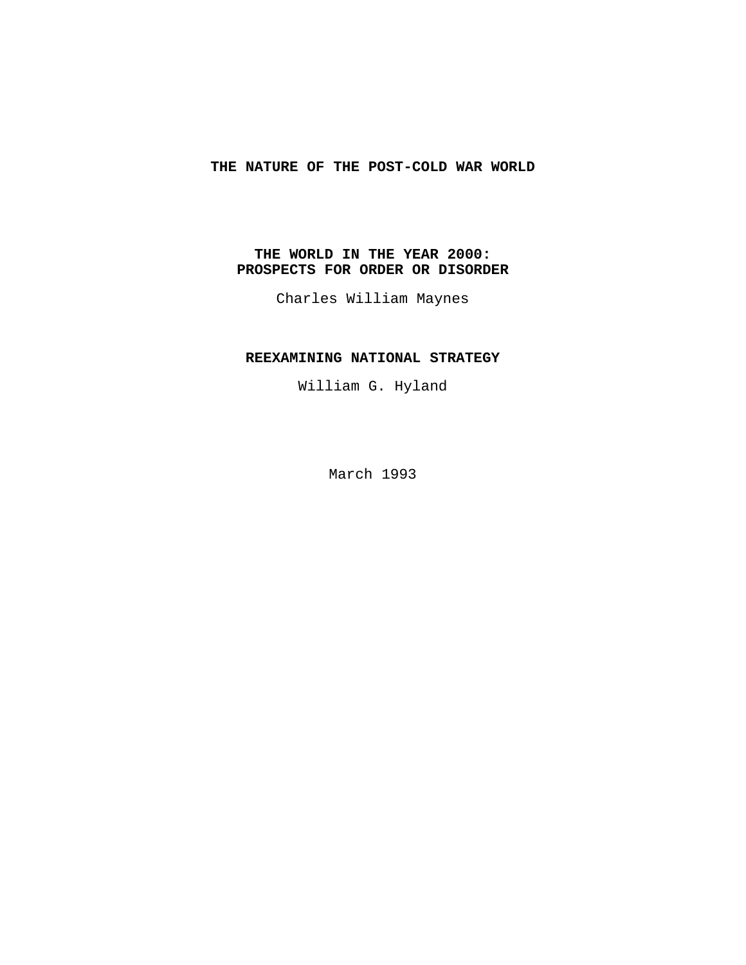# **THE NATURE OF THE POST-COLD WAR WORLD**

# **THE WORLD IN THE YEAR 2000: PROSPECTS FOR ORDER OR DISORDER**

Charles William Maynes

## **REEXAMINING NATIONAL STRATEGY**

William G. Hyland

March 1993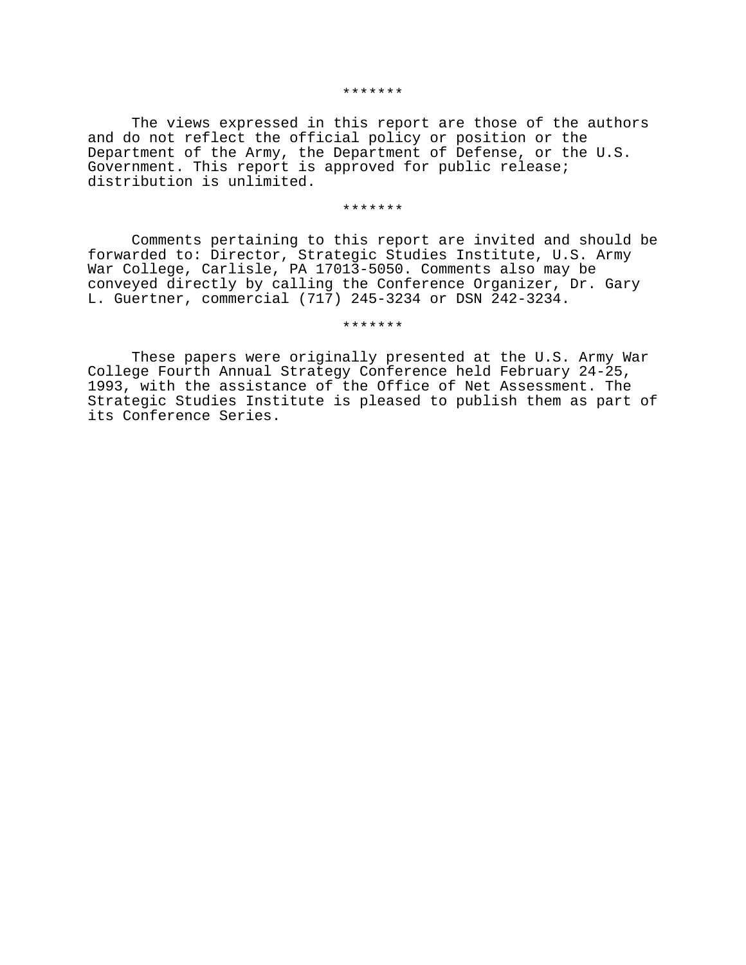#### \*\*\*\*\*\*\*

The views expressed in this report are those of the authors and do not reflect the official policy or position or the Department of the Army, the Department of Defense, or the U.S. Government. This report is approved for public release; distribution is unlimited.

#### \*\*\*\*\*\*\*

Comments pertaining to this report are invited and should be forwarded to: Director, Strategic Studies Institute, U.S. Army War College, Carlisle, PA 17013-5050. Comments also may be conveyed directly by calling the Conference Organizer, Dr. Gary L. Guertner, commercial (717) 245-3234 or DSN 242-3234.

\*\*\*\*\*\*\*

These papers were originally presented at the U.S. Army War College Fourth Annual Strategy Conference held February 24-25, 1993, with the assistance of the Office of Net Assessment. The Strategic Studies Institute is pleased to publish them as part of its Conference Series.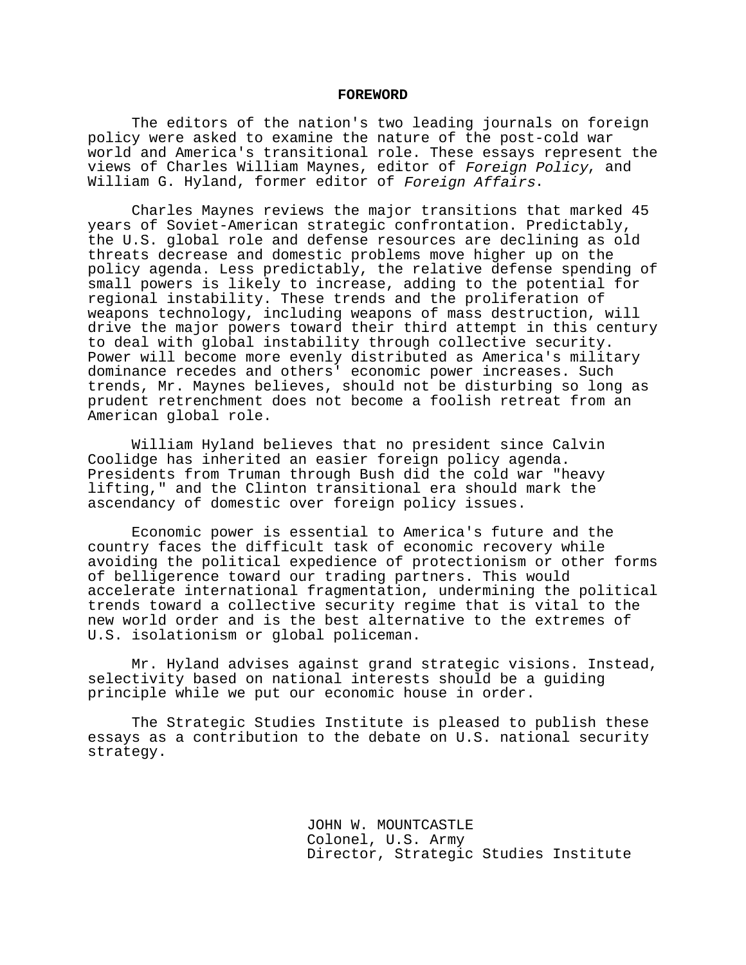#### **FOREWORD**

The editors of the nation's two leading journals on foreign policy were asked to examine the nature of the post-cold war world and America's transitional role. These essays represent the views of Charles William Maynes, editor of Foreign Policy, and William G. Hyland, former editor of Foreign Affairs.

Charles Maynes reviews the major transitions that marked 45 years of Soviet-American strategic confrontation. Predictably, the U.S. global role and defense resources are declining as old threats decrease and domestic problems move higher up on the policy agenda. Less predictably, the relative defense spending of small powers is likely to increase, adding to the potential for regional instability. These trends and the proliferation of weapons technology, including weapons of mass destruction, will drive the major powers toward their third attempt in this century to deal with global instability through collective security. Power will become more evenly distributed as America's military dominance recedes and others' economic power increases. Such trends, Mr. Maynes believes, should not be disturbing so long as prudent retrenchment does not become a foolish retreat from an American global role.

William Hyland believes that no president since Calvin Coolidge has inherited an easier foreign policy agenda. Presidents from Truman through Bush did the cold war "heavy lifting," and the Clinton transitional era should mark the ascendancy of domestic over foreign policy issues.

Economic power is essential to America's future and the country faces the difficult task of economic recovery while avoiding the political expedience of protectionism or other forms of belligerence toward our trading partners. This would accelerate international fragmentation, undermining the political trends toward a collective security regime that is vital to the new world order and is the best alternative to the extremes of U.S. isolationism or global policeman.

Mr. Hyland advises against grand strategic visions. Instead, selectivity based on national interests should be a guiding principle while we put our economic house in order.

The Strategic Studies Institute is pleased to publish these essays as a contribution to the debate on U.S. national security strategy.

> JOHN W. MOUNTCASTLE Colonel, U.S. Army Director, Strategic Studies Institute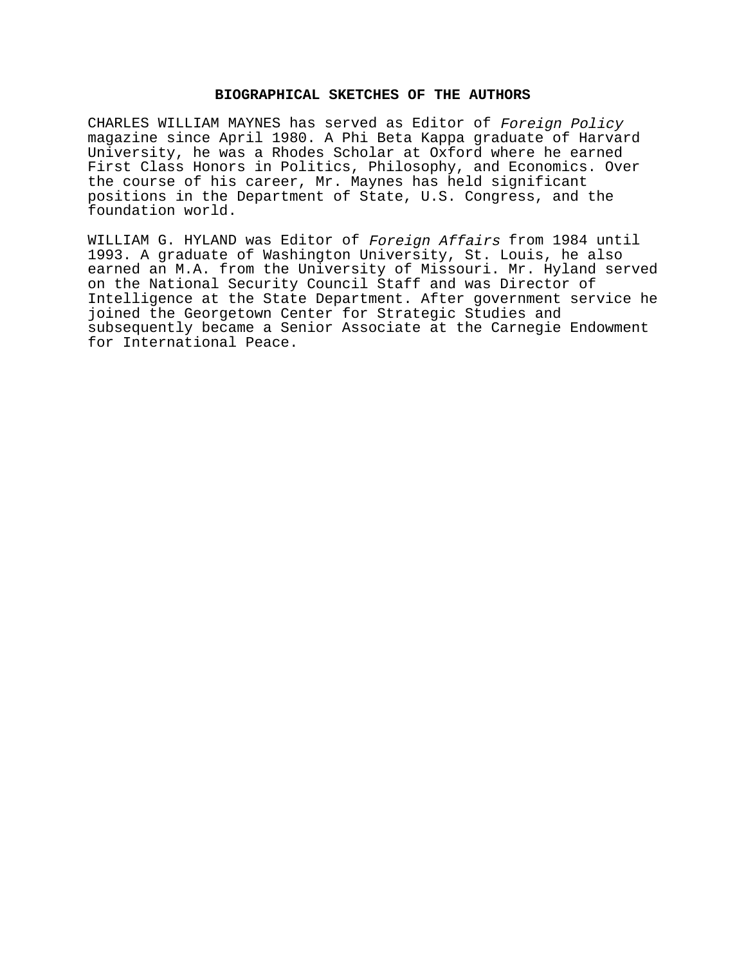## **BIOGRAPHICAL SKETCHES OF THE AUTHORS**

CHARLES WILLIAM MAYNES has served as Editor of Foreign Policy magazine since April 1980. A Phi Beta Kappa graduate of Harvard University, he was a Rhodes Scholar at Oxford where he earned First Class Honors in Politics, Philosophy, and Economics. Over the course of his career, Mr. Maynes has held significant positions in the Department of State, U.S. Congress, and the foundation world.

WILLIAM G. HYLAND was Editor of Foreign Affairs from 1984 until 1993. A graduate of Washington University, St. Louis, he also earned an M.A. from the University of Missouri. Mr. Hyland served on the National Security Council Staff and was Director of Intelligence at the State Department. After government service he joined the Georgetown Center for Strategic Studies and subsequently became a Senior Associate at the Carnegie Endowment for International Peace.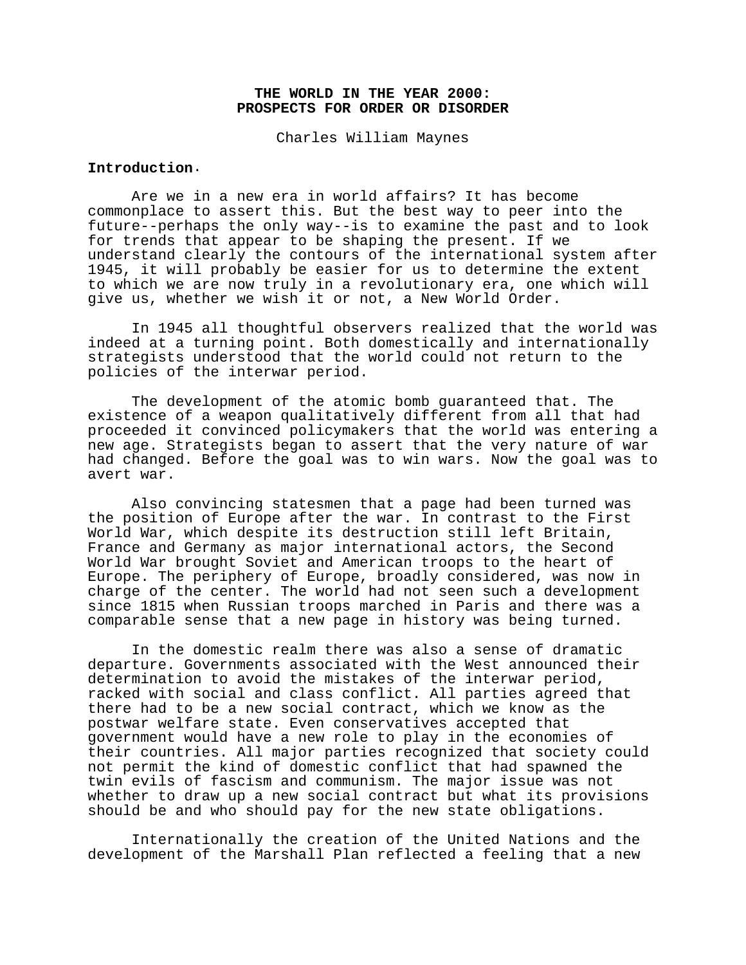## **THE WORLD IN THE YEAR 2000: PROSPECTS FOR ORDER OR DISORDER**

Charles William Maynes

# **Introduction**.

Are we in a new era in world affairs? It has become commonplace to assert this. But the best way to peer into the future--perhaps the only way--is to examine the past and to look for trends that appear to be shaping the present. If we understand clearly the contours of the international system after 1945, it will probably be easier for us to determine the extent to which we are now truly in a revolutionary era, one which will give us, whether we wish it or not, a New World Order.

In 1945 all thoughtful observers realized that the world was indeed at a turning point. Both domestically and internationally strategists understood that the world could not return to the policies of the interwar period.

The development of the atomic bomb guaranteed that. The existence of a weapon qualitatively different from all that had proceeded it convinced policymakers that the world was entering a new age. Strategists began to assert that the very nature of war had changed. Before the goal was to win wars. Now the goal was to avert war.

Also convincing statesmen that a page had been turned was the position of Europe after the war. In contrast to the First World War, which despite its destruction still left Britain, France and Germany as major international actors, the Second World War brought Soviet and American troops to the heart of Europe. The periphery of Europe, broadly considered, was now in charge of the center. The world had not seen such a development since 1815 when Russian troops marched in Paris and there was a comparable sense that a new page in history was being turned.

In the domestic realm there was also a sense of dramatic departure. Governments associated with the West announced their determination to avoid the mistakes of the interwar period, racked with social and class conflict. All parties agreed that there had to be a new social contract, which we know as the postwar welfare state. Even conservatives accepted that government would have a new role to play in the economies of their countries. All major parties recognized that society could not permit the kind of domestic conflict that had spawned the twin evils of fascism and communism. The major issue was not whether to draw up a new social contract but what its provisions should be and who should pay for the new state obligations.

Internationally the creation of the United Nations and the development of the Marshall Plan reflected a feeling that a new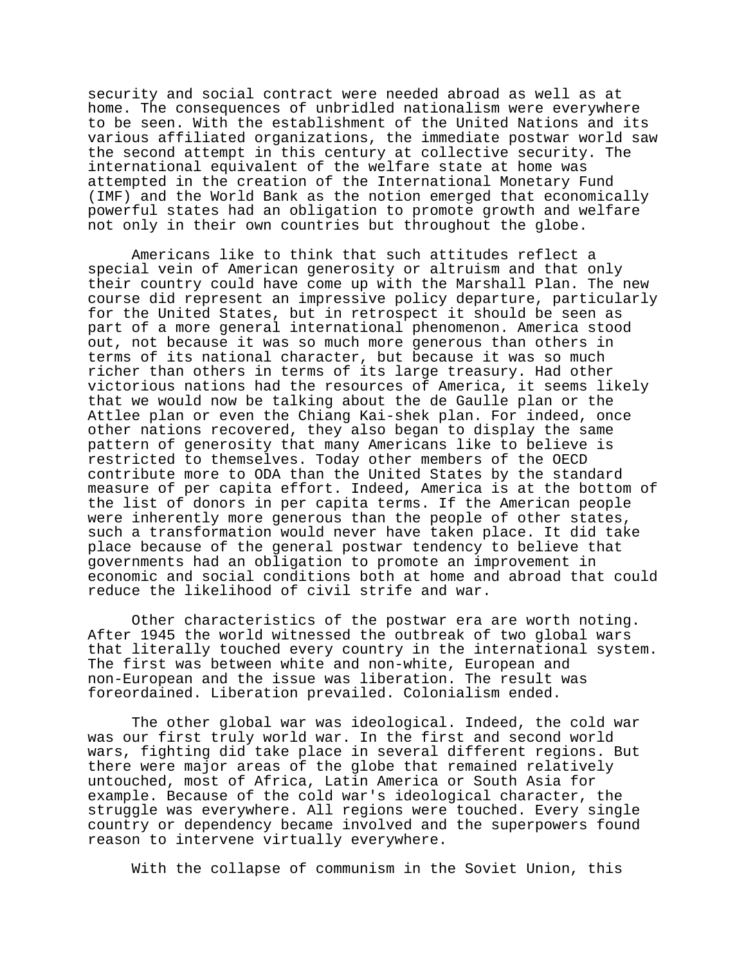security and social contract were needed abroad as well as at home. The consequences of unbridled nationalism were everywhere to be seen. With the establishment of the United Nations and its various affiliated organizations, the immediate postwar world saw the second attempt in this century at collective security. The international equivalent of the welfare state at home was attempted in the creation of the International Monetary Fund (IMF) and the World Bank as the notion emerged that economically powerful states had an obligation to promote growth and welfare not only in their own countries but throughout the globe.

Americans like to think that such attitudes reflect a special vein of American generosity or altruism and that only their country could have come up with the Marshall Plan. The new course did represent an impressive policy departure, particularly for the United States, but in retrospect it should be seen as part of a more general international phenomenon. America stood out, not because it was so much more generous than others in terms of its national character, but because it was so much richer than others in terms of its large treasury. Had other victorious nations had the resources of America, it seems likely that we would now be talking about the de Gaulle plan or the Attlee plan or even the Chiang Kai-shek plan. For indeed, once other nations recovered, they also began to display the same pattern of generosity that many Americans like to believe is restricted to themselves. Today other members of the OECD contribute more to ODA than the United States by the standard measure of per capita effort. Indeed, America is at the bottom of the list of donors in per capita terms. If the American people were inherently more generous than the people of other states, such a transformation would never have taken place. It did take place because of the general postwar tendency to believe that governments had an obligation to promote an improvement in economic and social conditions both at home and abroad that could reduce the likelihood of civil strife and war.

Other characteristics of the postwar era are worth noting. After 1945 the world witnessed the outbreak of two global wars that literally touched every country in the international system. The first was between white and non-white, European and non-European and the issue was liberation. The result was foreordained. Liberation prevailed. Colonialism ended.

The other global war was ideological. Indeed, the cold war was our first truly world war. In the first and second world wars, fighting did take place in several different regions. But there were major areas of the globe that remained relatively untouched, most of Africa, Latin America or South Asia for example. Because of the cold war's ideological character, the struggle was everywhere. All regions were touched. Every single country or dependency became involved and the superpowers found reason to intervene virtually everywhere.

With the collapse of communism in the Soviet Union, this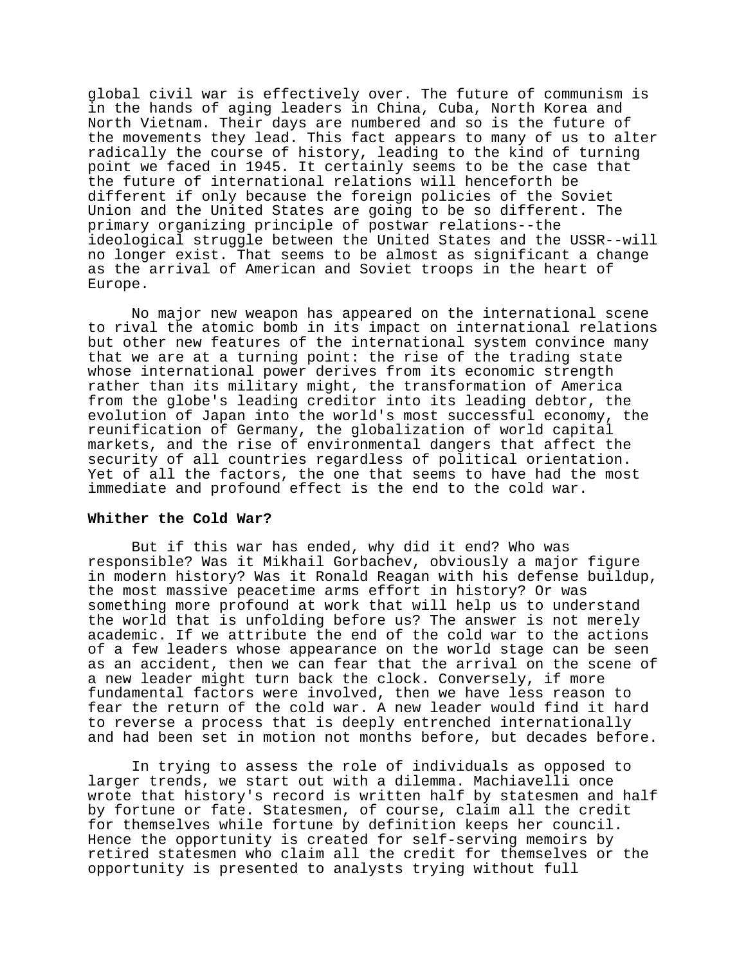global civil war is effectively over. The future of communism is in the hands of aging leaders in China, Cuba, North Korea and North Vietnam. Their days are numbered and so is the future of the movements they lead. This fact appears to many of us to alter radically the course of history, leading to the kind of turning point we faced in 1945. It certainly seems to be the case that the future of international relations will henceforth be different if only because the foreign policies of the Soviet Union and the United States are going to be so different. The primary organizing principle of postwar relations--the ideological struggle between the United States and the USSR--will no longer exist. That seems to be almost as significant a change as the arrival of American and Soviet troops in the heart of Europe.

No major new weapon has appeared on the international scene to rival the atomic bomb in its impact on international relations but other new features of the international system convince many that we are at a turning point: the rise of the trading state whose international power derives from its economic strength rather than its military might, the transformation of America from the globe's leading creditor into its leading debtor, the evolution of Japan into the world's most successful economy, the reunification of Germany, the globalization of world capital markets, and the rise of environmental dangers that affect the security of all countries regardless of political orientation. Yet of all the factors, the one that seems to have had the most immediate and profound effect is the end to the cold war.

#### **Whither the Cold War?**

But if this war has ended, why did it end? Who was responsible? Was it Mikhail Gorbachev, obviously a major figure in modern history? Was it Ronald Reagan with his defense buildup, the most massive peacetime arms effort in history? Or was something more profound at work that will help us to understand the world that is unfolding before us? The answer is not merely academic. If we attribute the end of the cold war to the actions of a few leaders whose appearance on the world stage can be seen as an accident, then we can fear that the arrival on the scene of a new leader might turn back the clock. Conversely, if more fundamental factors were involved, then we have less reason to fear the return of the cold war. A new leader would find it hard to reverse a process that is deeply entrenched internationally and had been set in motion not months before, but decades before.

In trying to assess the role of individuals as opposed to larger trends, we start out with a dilemma. Machiavelli once wrote that history's record is written half by statesmen and half by fortune or fate. Statesmen, of course, claim all the credit for themselves while fortune by definition keeps her council. Hence the opportunity is created for self-serving memoirs by retired statesmen who claim all the credit for themselves or the opportunity is presented to analysts trying without full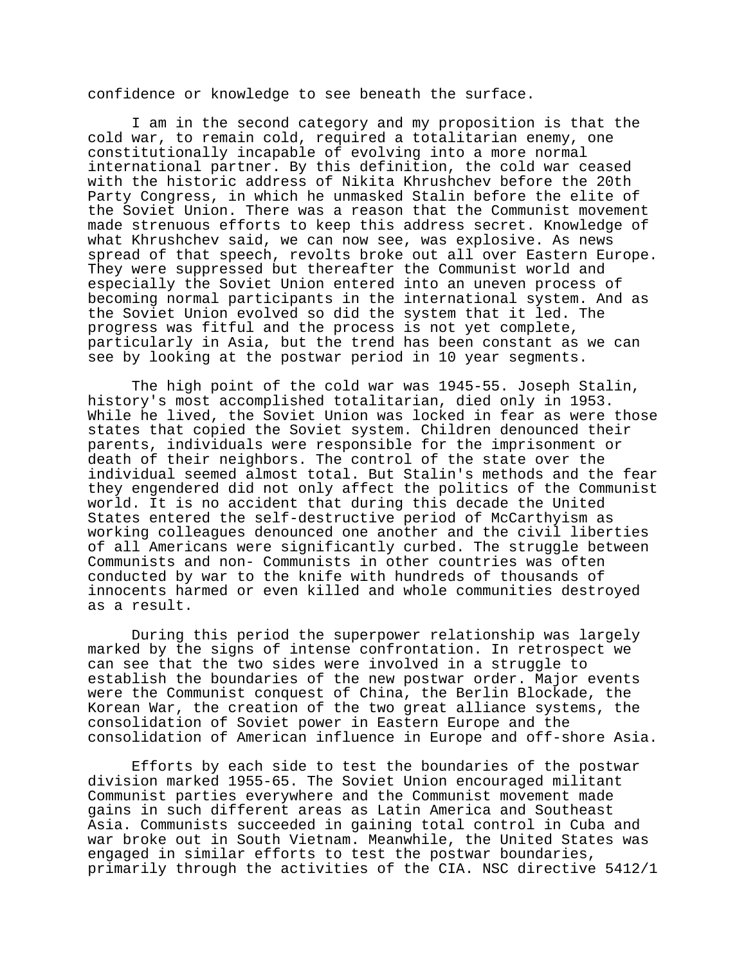confidence or knowledge to see beneath the surface.

I am in the second category and my proposition is that the cold war, to remain cold, required a totalitarian enemy, one constitutionally incapable of evolving into a more normal international partner. By this definition, the cold war ceased with the historic address of Nikita Khrushchev before the 20th Party Congress, in which he unmasked Stalin before the elite of the Soviet Union. There was a reason that the Communist movement made strenuous efforts to keep this address secret. Knowledge of what Khrushchev said, we can now see, was explosive. As news spread of that speech, revolts broke out all over Eastern Europe. They were suppressed but thereafter the Communist world and especially the Soviet Union entered into an uneven process of becoming normal participants in the international system. And as the Soviet Union evolved so did the system that it led. The progress was fitful and the process is not yet complete, particularly in Asia, but the trend has been constant as we can see by looking at the postwar period in 10 year segments.

The high point of the cold war was 1945-55. Joseph Stalin, history's most accomplished totalitarian, died only in 1953. While he lived, the Soviet Union was locked in fear as were those states that copied the Soviet system. Children denounced their parents, individuals were responsible for the imprisonment or death of their neighbors. The control of the state over the individual seemed almost total. But Stalin's methods and the fear they engendered did not only affect the politics of the Communist world. It is no accident that during this decade the United States entered the self-destructive period of McCarthyism as working colleagues denounced one another and the civil liberties of all Americans were significantly curbed. The struggle between Communists and non- Communists in other countries was often conducted by war to the knife with hundreds of thousands of innocents harmed or even killed and whole communities destroyed as a result.

During this period the superpower relationship was largely marked by the signs of intense confrontation. In retrospect we can see that the two sides were involved in a struggle to establish the boundaries of the new postwar order. Major events were the Communist conquest of China, the Berlin Blockade, the Korean War, the creation of the two great alliance systems, the consolidation of Soviet power in Eastern Europe and the consolidation of American influence in Europe and off-shore Asia.

Efforts by each side to test the boundaries of the postwar division marked 1955-65. The Soviet Union encouraged militant Communist parties everywhere and the Communist movement made gains in such different areas as Latin America and Southeast Asia. Communists succeeded in gaining total control in Cuba and war broke out in South Vietnam. Meanwhile, the United States was engaged in similar efforts to test the postwar boundaries, primarily through the activities of the CIA. NSC directive 5412/1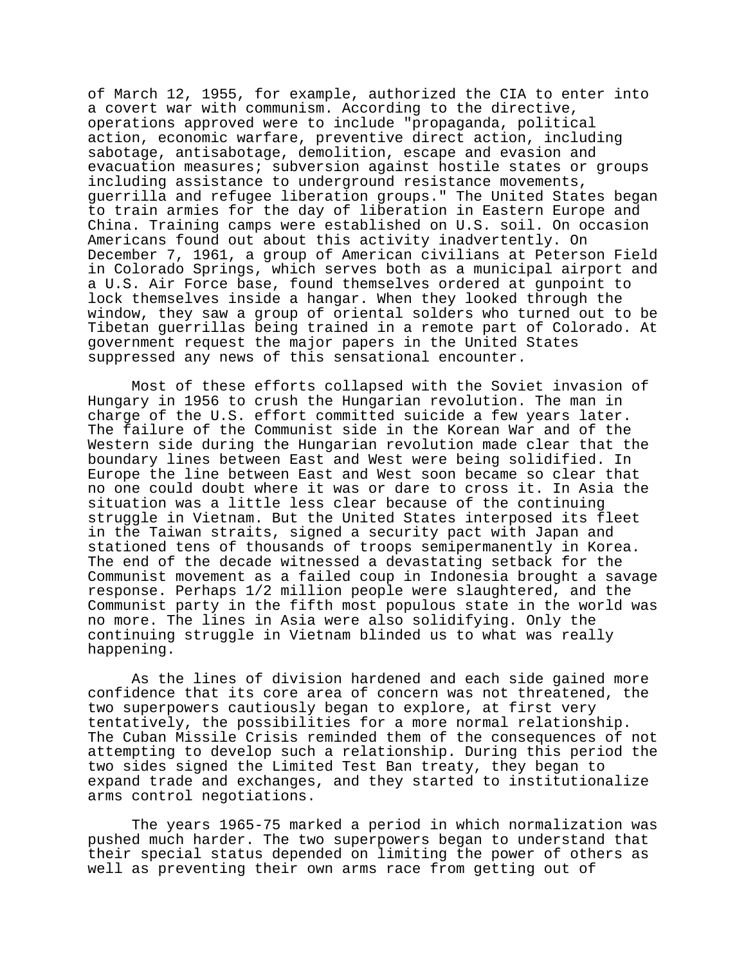of March 12, 1955, for example, authorized the CIA to enter into a covert war with communism. According to the directive, operations approved were to include "propaganda, political action, economic warfare, preventive direct action, including sabotage, antisabotage, demolition, escape and evasion and evacuation measures; subversion against hostile states or groups including assistance to underground resistance movements, guerrilla and refugee liberation groups." The United States began to train armies for the day of liberation in Eastern Europe and China. Training camps were established on U.S. soil. On occasion Americans found out about this activity inadvertently. On December 7, 1961, a group of American civilians at Peterson Field in Colorado Springs, which serves both as a municipal airport and a U.S. Air Force base, found themselves ordered at gunpoint to lock themselves inside a hangar. When they looked through the window, they saw a group of oriental solders who turned out to be Tibetan guerrillas being trained in a remote part of Colorado. At government request the major papers in the United States suppressed any news of this sensational encounter.

Most of these efforts collapsed with the Soviet invasion of Hungary in 1956 to crush the Hungarian revolution. The man in charge of the U.S. effort committed suicide a few years later. The failure of the Communist side in the Korean War and of the Western side during the Hungarian revolution made clear that the boundary lines between East and West were being solidified. In Europe the line between East and West soon became so clear that no one could doubt where it was or dare to cross it. In Asia the situation was a little less clear because of the continuing struggle in Vietnam. But the United States interposed its fleet in the Taiwan straits, signed a security pact with Japan and stationed tens of thousands of troops semipermanently in Korea. The end of the decade witnessed a devastating setback for the Communist movement as a failed coup in Indonesia brought a savage response. Perhaps 1/2 million people were slaughtered, and the Communist party in the fifth most populous state in the world was no more. The lines in Asia were also solidifying. Only the continuing struggle in Vietnam blinded us to what was really happening.

As the lines of division hardened and each side gained more confidence that its core area of concern was not threatened, the two superpowers cautiously began to explore, at first very tentatively, the possibilities for a more normal relationship. The Cuban Missile Crisis reminded them of the consequences of not attempting to develop such a relationship. During this period the two sides signed the Limited Test Ban treaty, they began to expand trade and exchanges, and they started to institutionalize arms control negotiations.

The years 1965-75 marked a period in which normalization was pushed much harder. The two superpowers began to understand that their special status depended on limiting the power of others as well as preventing their own arms race from getting out of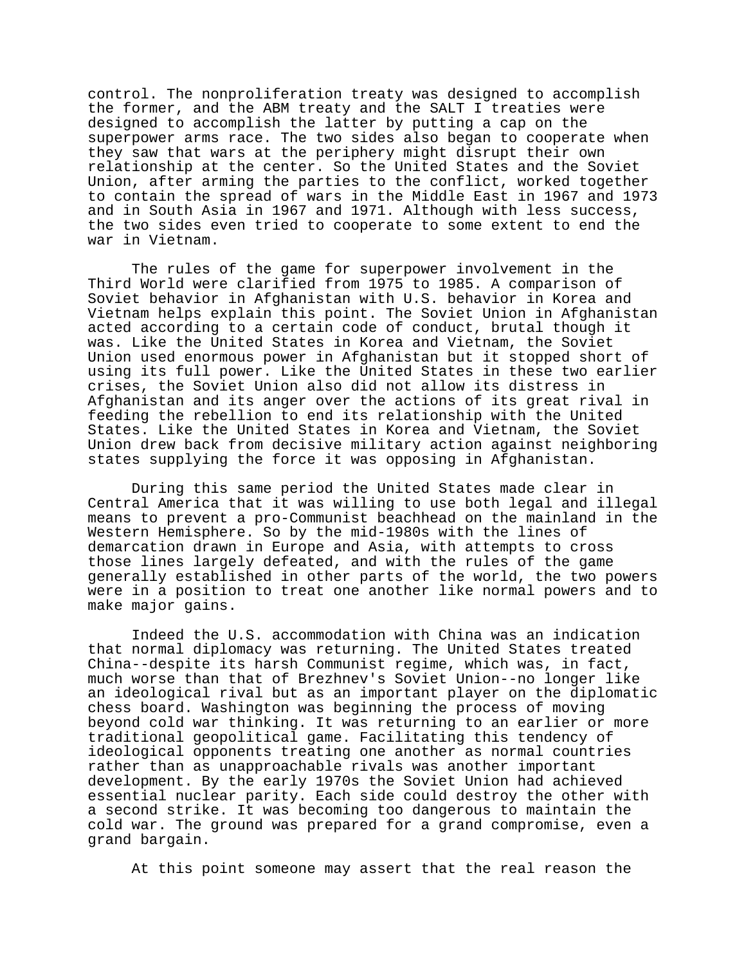control. The nonproliferation treaty was designed to accomplish the former, and the ABM treaty and the SALT I treaties were designed to accomplish the latter by putting a cap on the superpower arms race. The two sides also began to cooperate when they saw that wars at the periphery might disrupt their own relationship at the center. So the United States and the Soviet Union, after arming the parties to the conflict, worked together to contain the spread of wars in the Middle East in 1967 and 1973 and in South Asia in 1967 and 1971. Although with less success, the two sides even tried to cooperate to some extent to end the war in Vietnam.

The rules of the game for superpower involvement in the Third World were clarified from 1975 to 1985. A comparison of Soviet behavior in Afghanistan with U.S. behavior in Korea and Vietnam helps explain this point. The Soviet Union in Afghanistan acted according to a certain code of conduct, brutal though it was. Like the United States in Korea and Vietnam, the Soviet Union used enormous power in Afghanistan but it stopped short of using its full power. Like the United States in these two earlier crises, the Soviet Union also did not allow its distress in Afghanistan and its anger over the actions of its great rival in feeding the rebellion to end its relationship with the United States. Like the United States in Korea and Vietnam, the Soviet Union drew back from decisive military action against neighboring states supplying the force it was opposing in Afghanistan.

During this same period the United States made clear in Central America that it was willing to use both legal and illegal means to prevent a pro-Communist beachhead on the mainland in the Western Hemisphere. So by the mid-1980s with the lines of demarcation drawn in Europe and Asia, with attempts to cross those lines largely defeated, and with the rules of the game generally established in other parts of the world, the two powers were in a position to treat one another like normal powers and to make major gains.

Indeed the U.S. accommodation with China was an indication that normal diplomacy was returning. The United States treated China--despite its harsh Communist regime, which was, in fact, much worse than that of Brezhnev's Soviet Union--no longer like an ideological rival but as an important player on the diplomatic chess board. Washington was beginning the process of moving beyond cold war thinking. It was returning to an earlier or more traditional geopolitical game. Facilitating this tendency of ideological opponents treating one another as normal countries rather than as unapproachable rivals was another important development. By the early 1970s the Soviet Union had achieved essential nuclear parity. Each side could destroy the other with a second strike. It was becoming too dangerous to maintain the cold war. The ground was prepared for a grand compromise, even a grand bargain.

At this point someone may assert that the real reason the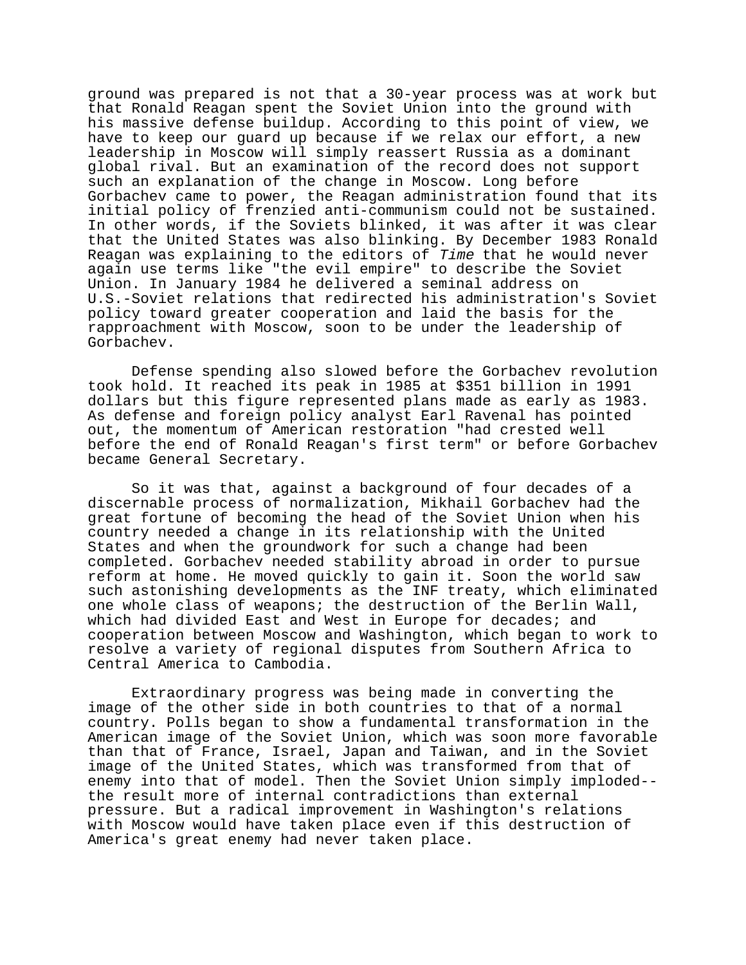ground was prepared is not that a 30-year process was at work but that Ronald Reagan spent the Soviet Union into the ground with his massive defense buildup. According to this point of view, we have to keep our guard up because if we relax our effort, a new leadership in Moscow will simply reassert Russia as a dominant global rival. But an examination of the record does not support such an explanation of the change in Moscow. Long before Gorbachev came to power, the Reagan administration found that its initial policy of frenzied anti-communism could not be sustained. In other words, if the Soviets blinked, it was after it was clear that the United States was also blinking. By December 1983 Ronald Reagan was explaining to the editors of Time that he would never again use terms like "the evil empire" to describe the Soviet Union. In January 1984 he delivered a seminal address on U.S.-Soviet relations that redirected his administration's Soviet policy toward greater cooperation and laid the basis for the rapproachment with Moscow, soon to be under the leadership of Gorbachev.

Defense spending also slowed before the Gorbachev revolution took hold. It reached its peak in 1985 at \$351 billion in 1991 dollars but this figure represented plans made as early as 1983. As defense and foreign policy analyst Earl Ravenal has pointed out, the momentum of American restoration "had crested well before the end of Ronald Reagan's first term" or before Gorbachev became General Secretary.

So it was that, against a background of four decades of a discernable process of normalization, Mikhail Gorbachev had the great fortune of becoming the head of the Soviet Union when his country needed a change in its relationship with the United States and when the groundwork for such a change had been completed. Gorbachev needed stability abroad in order to pursue reform at home. He moved quickly to gain it. Soon the world saw such astonishing developments as the INF treaty, which eliminated one whole class of weapons; the destruction of the Berlin Wall, which had divided East and West in Europe for decades; and cooperation between Moscow and Washington, which began to work to resolve a variety of regional disputes from Southern Africa to Central America to Cambodia.

Extraordinary progress was being made in converting the image of the other side in both countries to that of a normal country. Polls began to show a fundamental transformation in the American image of the Soviet Union, which was soon more favorable than that of France, Israel, Japan and Taiwan, and in the Soviet image of the United States, which was transformed from that of enemy into that of model. Then the Soviet Union simply imploded- the result more of internal contradictions than external pressure. But a radical improvement in Washington's relations with Moscow would have taken place even if this destruction of America's great enemy had never taken place.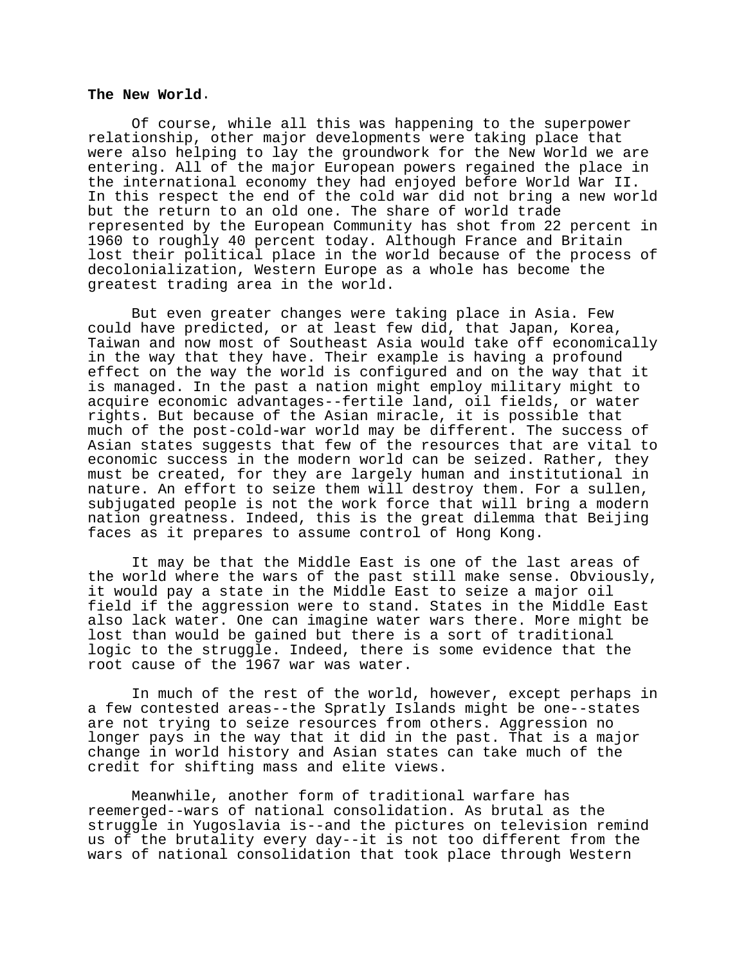#### **The New World**.

Of course, while all this was happening to the superpower relationship, other major developments were taking place that were also helping to lay the groundwork for the New World we are entering. All of the major European powers regained the place in the international economy they had enjoyed before World War II. In this respect the end of the cold war did not bring a new world but the return to an old one. The share of world trade represented by the European Community has shot from 22 percent in 1960 to roughly 40 percent today. Although France and Britain lost their political place in the world because of the process of decolonialization, Western Europe as a whole has become the greatest trading area in the world.

But even greater changes were taking place in Asia. Few could have predicted, or at least few did, that Japan, Korea, Taiwan and now most of Southeast Asia would take off economically in the way that they have. Their example is having a profound effect on the way the world is configured and on the way that it is managed. In the past a nation might employ military might to acquire economic advantages--fertile land, oil fields, or water rights. But because of the Asian miracle, it is possible that much of the post-cold-war world may be different. The success of Asian states suggests that few of the resources that are vital to economic success in the modern world can be seized. Rather, they must be created, for they are largely human and institutional in nature. An effort to seize them will destroy them. For a sullen, subjugated people is not the work force that will bring a modern nation greatness. Indeed, this is the great dilemma that Beijing faces as it prepares to assume control of Hong Kong.

It may be that the Middle East is one of the last areas of the world where the wars of the past still make sense. Obviously, it would pay a state in the Middle East to seize a major oil field if the aggression were to stand. States in the Middle East also lack water. One can imagine water wars there. More might be lost than would be gained but there is a sort of traditional logic to the struggle. Indeed, there is some evidence that the root cause of the 1967 war was water.

In much of the rest of the world, however, except perhaps in a few contested areas--the Spratly Islands might be one--states are not trying to seize resources from others. Aggression no longer pays in the way that it did in the past. That is a major change in world history and Asian states can take much of the credit for shifting mass and elite views.

Meanwhile, another form of traditional warfare has reemerged--wars of national consolidation. As brutal as the struggle in Yugoslavia is--and the pictures on television remind us of the brutality every day--it is not too different from the wars of national consolidation that took place through Western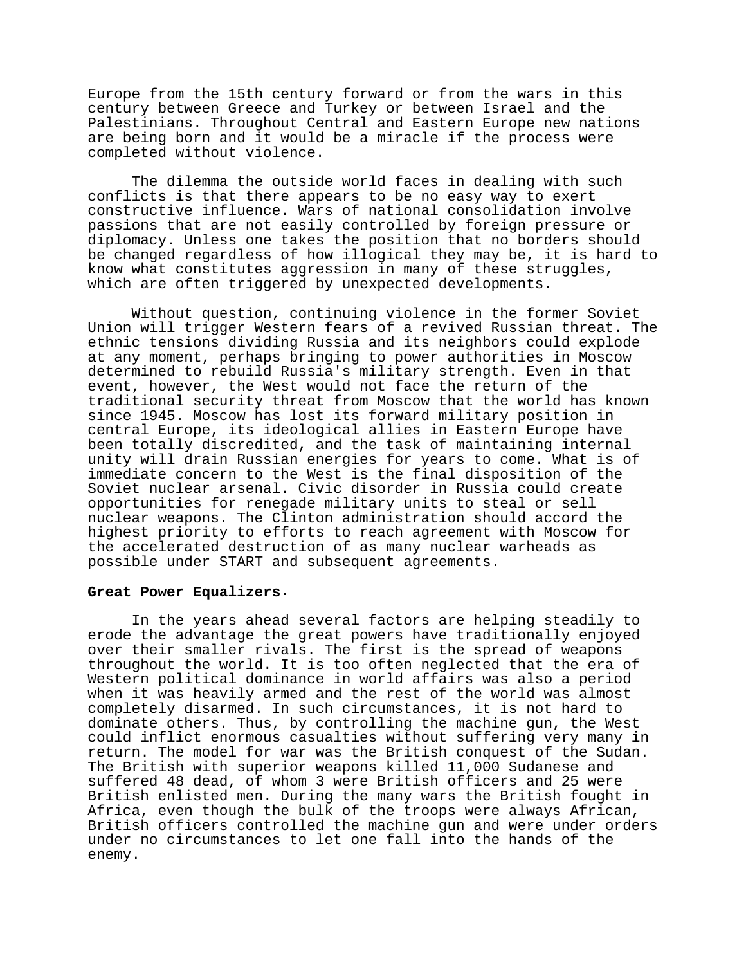Europe from the 15th century forward or from the wars in this century between Greece and Turkey or between Israel and the Palestinians. Throughout Central and Eastern Europe new nations are being born and it would be a miracle if the process were completed without violence.

The dilemma the outside world faces in dealing with such conflicts is that there appears to be no easy way to exert constructive influence. Wars of national consolidation involve passions that are not easily controlled by foreign pressure or diplomacy. Unless one takes the position that no borders should be changed regardless of how illogical they may be, it is hard to know what constitutes aggression in many of these struggles, which are often triggered by unexpected developments.

Without question, continuing violence in the former Soviet Union will trigger Western fears of a revived Russian threat. The ethnic tensions dividing Russia and its neighbors could explode at any moment, perhaps bringing to power authorities in Moscow determined to rebuild Russia's military strength. Even in that event, however, the West would not face the return of the traditional security threat from Moscow that the world has known since 1945. Moscow has lost its forward military position in central Europe, its ideological allies in Eastern Europe have been totally discredited, and the task of maintaining internal unity will drain Russian energies for years to come. What is of immediate concern to the West is the final disposition of the Soviet nuclear arsenal. Civic disorder in Russia could create opportunities for renegade military units to steal or sell nuclear weapons. The Clinton administration should accord the highest priority to efforts to reach agreement with Moscow for the accelerated destruction of as many nuclear warheads as possible under START and subsequent agreements.

### **Great Power Equalizers**.

In the years ahead several factors are helping steadily to erode the advantage the great powers have traditionally enjoyed over their smaller rivals. The first is the spread of weapons throughout the world. It is too often neglected that the era of Western political dominance in world affairs was also a period when it was heavily armed and the rest of the world was almost completely disarmed. In such circumstances, it is not hard to dominate others. Thus, by controlling the machine gun, the West could inflict enormous casualties without suffering very many in return. The model for war was the British conquest of the Sudan. The British with superior weapons killed 11,000 Sudanese and suffered 48 dead, of whom 3 were British officers and 25 were British enlisted men. During the many wars the British fought in Africa, even though the bulk of the troops were always African, British officers controlled the machine gun and were under orders under no circumstances to let one fall into the hands of the enemy.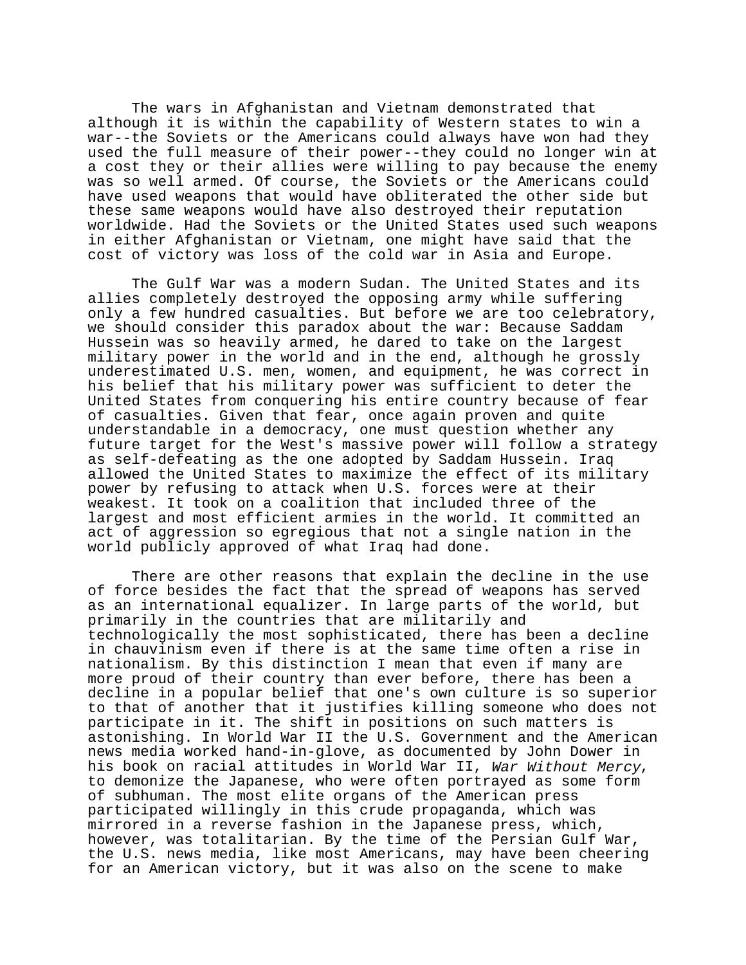The wars in Afghanistan and Vietnam demonstrated that although it is within the capability of Western states to win a war--the Soviets or the Americans could always have won had they used the full measure of their power--they could no longer win at a cost they or their allies were willing to pay because the enemy was so well armed. Of course, the Soviets or the Americans could have used weapons that would have obliterated the other side but these same weapons would have also destroyed their reputation worldwide. Had the Soviets or the United States used such weapons in either Afghanistan or Vietnam, one might have said that the cost of victory was loss of the cold war in Asia and Europe.

The Gulf War was a modern Sudan. The United States and its allies completely destroyed the opposing army while suffering only a few hundred casualties. But before we are too celebratory, we should consider this paradox about the war: Because Saddam Hussein was so heavily armed, he dared to take on the largest military power in the world and in the end, although he grossly underestimated U.S. men, women, and equipment, he was correct in his belief that his military power was sufficient to deter the United States from conquering his entire country because of fear of casualties. Given that fear, once again proven and quite understandable in a democracy, one must question whether any future target for the West's massive power will follow a strategy as self-defeating as the one adopted by Saddam Hussein. Iraq allowed the United States to maximize the effect of its military power by refusing to attack when U.S. forces were at their weakest. It took on a coalition that included three of the largest and most efficient armies in the world. It committed an act of aggression so egregious that not a single nation in the world publicly approved of what Iraq had done.

There are other reasons that explain the decline in the use of force besides the fact that the spread of weapons has served as an international equalizer. In large parts of the world, but primarily in the countries that are militarily and technologically the most sophisticated, there has been a decline in chauvinism even if there is at the same time often a rise in nationalism. By this distinction I mean that even if many are more proud of their country than ever before, there has been a decline in a popular belief that one's own culture is so superior to that of another that it justifies killing someone who does not participate in it. The shift in positions on such matters is astonishing. In World War II the U.S. Government and the American news media worked hand-in-glove, as documented by John Dower in his book on racial attitudes in World War II, War Without Mercy,<br>to demonize the Japanese, who were often portrayed as some form of subhuman. The most elite organs of the American press participated willingly in this crude propaganda, which was mirrored in a reverse fashion in the Japanese press, which, however, was totalitarian. By the time of the Persian Gulf War, the U.S. news media, like most Americans, may have been cheering for an American victory, but it was also on the scene to make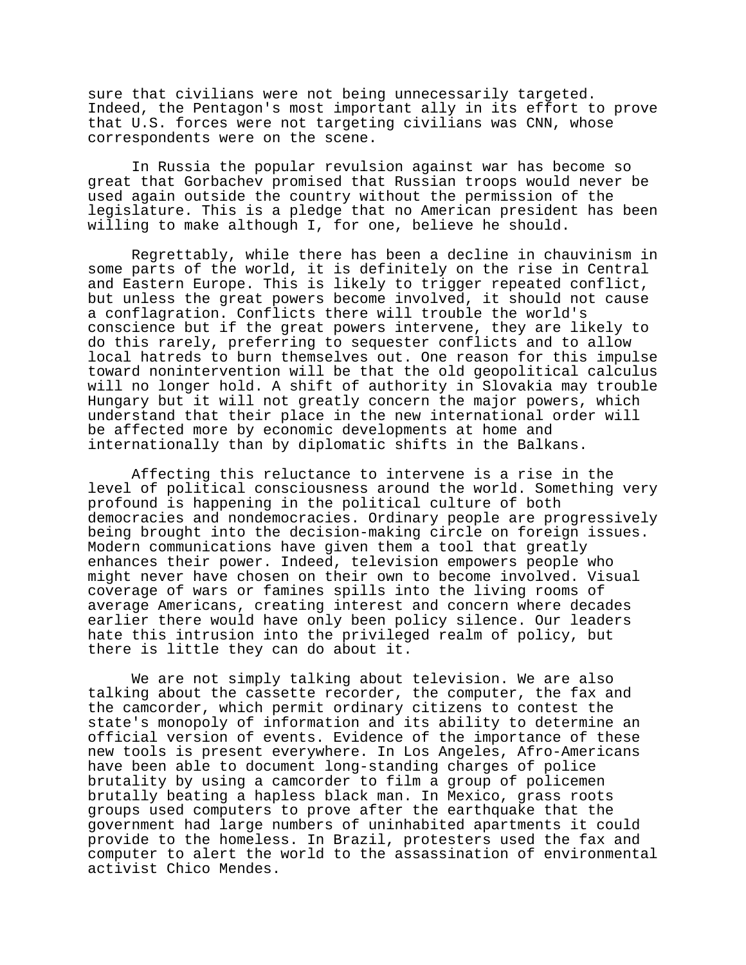sure that civilians were not being unnecessarily targeted. Indeed, the Pentagon's most important ally in its effort to prove that U.S. forces were not targeting civilians was CNN, whose correspondents were on the scene.

In Russia the popular revulsion against war has become so great that Gorbachev promised that Russian troops would never be used again outside the country without the permission of the legislature. This is a pledge that no American president has been willing to make although I, for one, believe he should.

Regrettably, while there has been a decline in chauvinism in some parts of the world, it is definitely on the rise in Central and Eastern Europe. This is likely to trigger repeated conflict, but unless the great powers become involved, it should not cause a conflagration. Conflicts there will trouble the world's conscience but if the great powers intervene, they are likely to do this rarely, preferring to sequester conflicts and to allow local hatreds to burn themselves out. One reason for this impulse toward nonintervention will be that the old geopolitical calculus will no longer hold. A shift of authority in Slovakia may trouble Hungary but it will not greatly concern the major powers, which understand that their place in the new international order will be affected more by economic developments at home and internationally than by diplomatic shifts in the Balkans.

Affecting this reluctance to intervene is a rise in the level of political consciousness around the world. Something very profound is happening in the political culture of both democracies and nondemocracies. Ordinary people are progressively being brought into the decision-making circle on foreign issues. Modern communications have given them a tool that greatly enhances their power. Indeed, television empowers people who might never have chosen on their own to become involved. Visual coverage of wars or famines spills into the living rooms of average Americans, creating interest and concern where decades earlier there would have only been policy silence. Our leaders hate this intrusion into the privileged realm of policy, but there is little they can do about it.

We are not simply talking about television. We are also talking about the cassette recorder, the computer, the fax and the camcorder, which permit ordinary citizens to contest the state's monopoly of information and its ability to determine an official version of events. Evidence of the importance of these new tools is present everywhere. In Los Angeles, Afro-Americans have been able to document long-standing charges of police brutality by using a camcorder to film a group of policemen brutally beating a hapless black man. In Mexico, grass roots groups used computers to prove after the earthquake that the government had large numbers of uninhabited apartments it could provide to the homeless. In Brazil, protesters used the fax and computer to alert the world to the assassination of environmental activist Chico Mendes.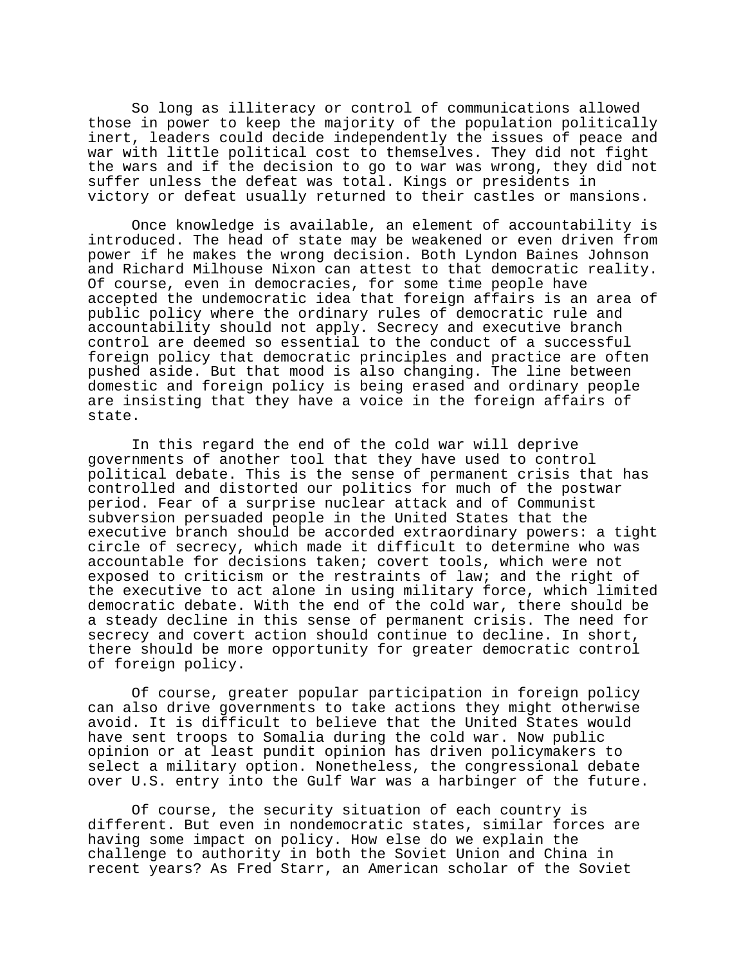So long as illiteracy or control of communications allowed those in power to keep the majority of the population politically inert, leaders could decide independently the issues of peace and war with little political cost to themselves. They did not fight the wars and if the decision to go to war was wrong, they did not suffer unless the defeat was total. Kings or presidents in victory or defeat usually returned to their castles or mansions.

Once knowledge is available, an element of accountability is introduced. The head of state may be weakened or even driven from power if he makes the wrong decision. Both Lyndon Baines Johnson and Richard Milhouse Nixon can attest to that democratic reality. Of course, even in democracies, for some time people have accepted the undemocratic idea that foreign affairs is an area of public policy where the ordinary rules of democratic rule and accountability should not apply. Secrecy and executive branch control are deemed so essential to the conduct of a successful foreign policy that democratic principles and practice are often pushed aside. But that mood is also changing. The line between domestic and foreign policy is being erased and ordinary people are insisting that they have a voice in the foreign affairs of state.

In this regard the end of the cold war will deprive governments of another tool that they have used to control political debate. This is the sense of permanent crisis that has controlled and distorted our politics for much of the postwar period. Fear of a surprise nuclear attack and of Communist subversion persuaded people in the United States that the executive branch should be accorded extraordinary powers: a tight circle of secrecy, which made it difficult to determine who was accountable for decisions taken; covert tools, which were not exposed to criticism or the restraints of law; and the right of the executive to act alone in using military force, which limited democratic debate. With the end of the cold war, there should be a steady decline in this sense of permanent crisis. The need for secrecy and covert action should continue to decline. In short, there should be more opportunity for greater democratic control of foreign policy.

Of course, greater popular participation in foreign policy can also drive governments to take actions they might otherwise avoid. It is difficult to believe that the United States would have sent troops to Somalia during the cold war. Now public opinion or at least pundit opinion has driven policymakers to select a military option. Nonetheless, the congressional debate over U.S. entry into the Gulf War was a harbinger of the future.

Of course, the security situation of each country is different. But even in nondemocratic states, similar forces are having some impact on policy. How else do we explain the challenge to authority in both the Soviet Union and China in recent years? As Fred Starr, an American scholar of the Soviet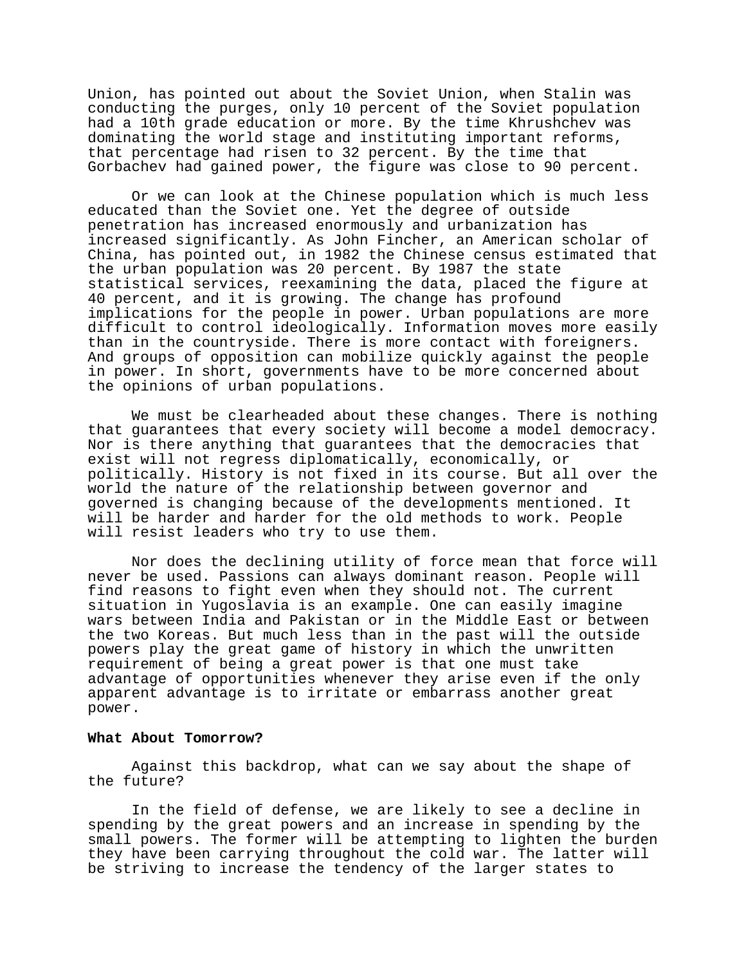Union, has pointed out about the Soviet Union, when Stalin was conducting the purges, only 10 percent of the Soviet population had a 10th grade education or more. By the time Khrushchev was dominating the world stage and instituting important reforms, that percentage had risen to 32 percent. By the time that Gorbachev had gained power, the figure was close to 90 percent.

Or we can look at the Chinese population which is much less educated than the Soviet one. Yet the degree of outside penetration has increased enormously and urbanization has increased significantly. As John Fincher, an American scholar of China, has pointed out, in 1982 the Chinese census estimated that the urban population was 20 percent. By 1987 the state statistical services, reexamining the data, placed the figure at 40 percent, and it is growing. The change has profound implications for the people in power. Urban populations are more difficult to control ideologically. Information moves more easily than in the countryside. There is more contact with foreigners. And groups of opposition can mobilize quickly against the people in power. In short, governments have to be more concerned about the opinions of urban populations.

We must be clearheaded about these changes. There is nothing that guarantees that every society will become a model democracy. Nor is there anything that guarantees that the democracies that exist will not regress diplomatically, economically, or politically. History is not fixed in its course. But all over the world the nature of the relationship between governor and governed is changing because of the developments mentioned. It will be harder and harder for the old methods to work. People will resist leaders who try to use them.

Nor does the declining utility of force mean that force will never be used. Passions can always dominant reason. People will find reasons to fight even when they should not. The current situation in Yugoslavia is an example. One can easily imagine wars between India and Pakistan or in the Middle East or between the two Koreas. But much less than in the past will the outside powers play the great game of history in which the unwritten requirement of being a great power is that one must take advantage of opportunities whenever they arise even if the only apparent advantage is to irritate or embarrass another great power.

#### **What About Tomorrow?**

Against this backdrop, what can we say about the shape of the future?

In the field of defense, we are likely to see a decline in spending by the great powers and an increase in spending by the small powers. The former will be attempting to lighten the burden they have been carrying throughout the cold war. The latter will be striving to increase the tendency of the larger states to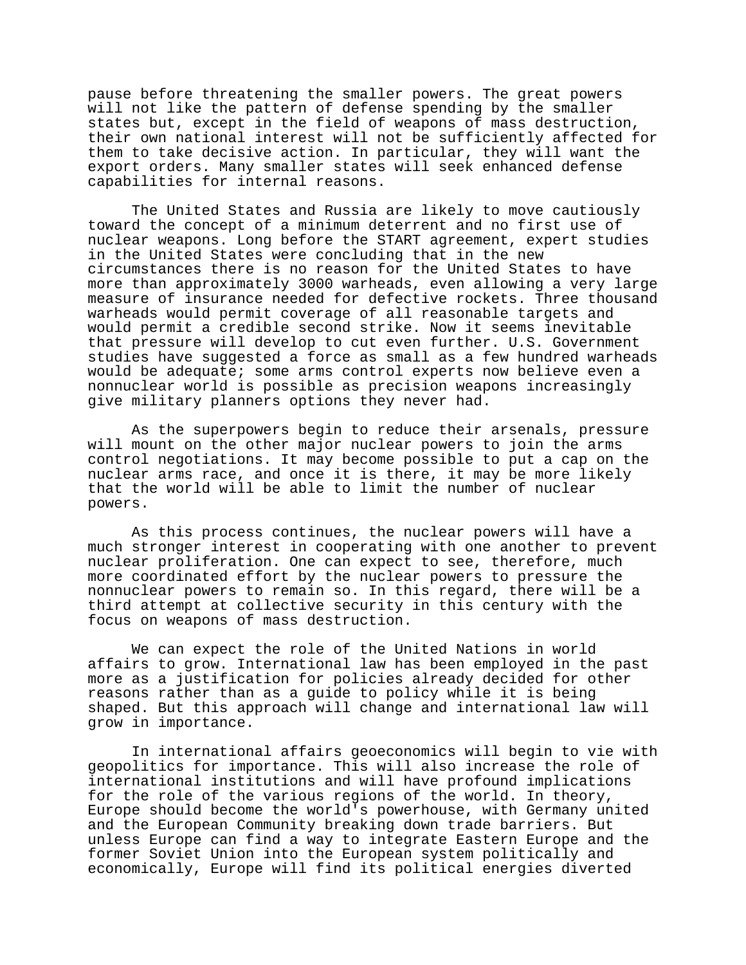pause before threatening the smaller powers. The great powers will not like the pattern of defense spending by the smaller states but, except in the field of weapons of mass destruction, their own national interest will not be sufficiently affected for them to take decisive action. In particular, they will want the export orders. Many smaller states will seek enhanced defense capabilities for internal reasons.

The United States and Russia are likely to move cautiously toward the concept of a minimum deterrent and no first use of nuclear weapons. Long before the START agreement, expert studies in the United States were concluding that in the new circumstances there is no reason for the United States to have more than approximately 3000 warheads, even allowing a very large measure of insurance needed for defective rockets. Three thousand warheads would permit coverage of all reasonable targets and would permit a credible second strike. Now it seems inevitable that pressure will develop to cut even further. U.S. Government studies have suggested a force as small as a few hundred warheads would be adequate; some arms control experts now believe even a nonnuclear world is possible as precision weapons increasingly give military planners options they never had.

As the superpowers begin to reduce their arsenals, pressure will mount on the other major nuclear powers to join the arms control negotiations. It may become possible to put a cap on the nuclear arms race, and once it is there, it may be more likely that the world will be able to limit the number of nuclear powers.

As this process continues, the nuclear powers will have a much stronger interest in cooperating with one another to prevent nuclear proliferation. One can expect to see, therefore, much more coordinated effort by the nuclear powers to pressure the nonnuclear powers to remain so. In this regard, there will be a third attempt at collective security in this century with the focus on weapons of mass destruction.

We can expect the role of the United Nations in world affairs to grow. International law has been employed in the past more as a justification for policies already decided for other reasons rather than as a guide to policy while it is being shaped. But this approach will change and international law will grow in importance.

In international affairs geoeconomics will begin to vie with geopolitics for importance. This will also increase the role of international institutions and will have profound implications for the role of the various regions of the world. In theory, Europe should become the world's powerhouse, with Germany united and the European Community breaking down trade barriers. But unless Europe can find a way to integrate Eastern Europe and the former Soviet Union into the European system politically and economically, Europe will find its political energies diverted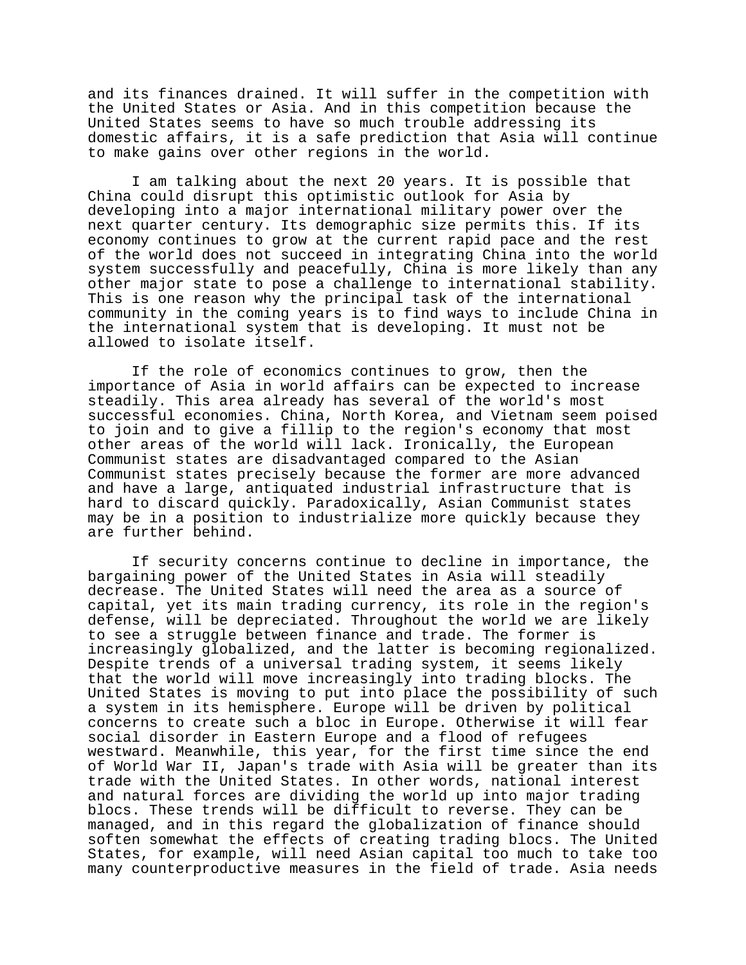and its finances drained. It will suffer in the competition with the United States or Asia. And in this competition because the United States seems to have so much trouble addressing its domestic affairs, it is a safe prediction that Asia will continue to make gains over other regions in the world.

I am talking about the next 20 years. It is possible that China could disrupt this optimistic outlook for Asia by developing into a major international military power over the next quarter century. Its demographic size permits this. If its economy continues to grow at the current rapid pace and the rest of the world does not succeed in integrating China into the world system successfully and peacefully, China is more likely than any other major state to pose a challenge to international stability. This is one reason why the principal task of the international community in the coming years is to find ways to include China in the international system that is developing. It must not be allowed to isolate itself.

If the role of economics continues to grow, then the importance of Asia in world affairs can be expected to increase steadily. This area already has several of the world's most successful economies. China, North Korea, and Vietnam seem poised to join and to give a fillip to the region's economy that most other areas of the world will lack. Ironically, the European Communist states are disadvantaged compared to the Asian Communist states precisely because the former are more advanced and have a large, antiquated industrial infrastructure that is hard to discard quickly. Paradoxically, Asian Communist states may be in a position to industrialize more quickly because they are further behind.

If security concerns continue to decline in importance, the bargaining power of the United States in Asia will steadily decrease. The United States will need the area as a source of capital, yet its main trading currency, its role in the region's defense, will be depreciated. Throughout the world we are likely to see a struggle between finance and trade. The former is increasingly globalized, and the latter is becoming regionalized. Despite trends of a universal trading system, it seems likely that the world will move increasingly into trading blocks. The United States is moving to put into place the possibility of such a system in its hemisphere. Europe will be driven by political concerns to create such a bloc in Europe. Otherwise it will fear social disorder in Eastern Europe and a flood of refugees westward. Meanwhile, this year, for the first time since the end of World War II, Japan's trade with Asia will be greater than its trade with the United States. In other words, national interest and natural forces are dividing the world up into major trading blocs. These trends will be difficult to reverse. They can be managed, and in this regard the globalization of finance should soften somewhat the effects of creating trading blocs. The United States, for example, will need Asian capital too much to take too many counterproductive measures in the field of trade. Asia needs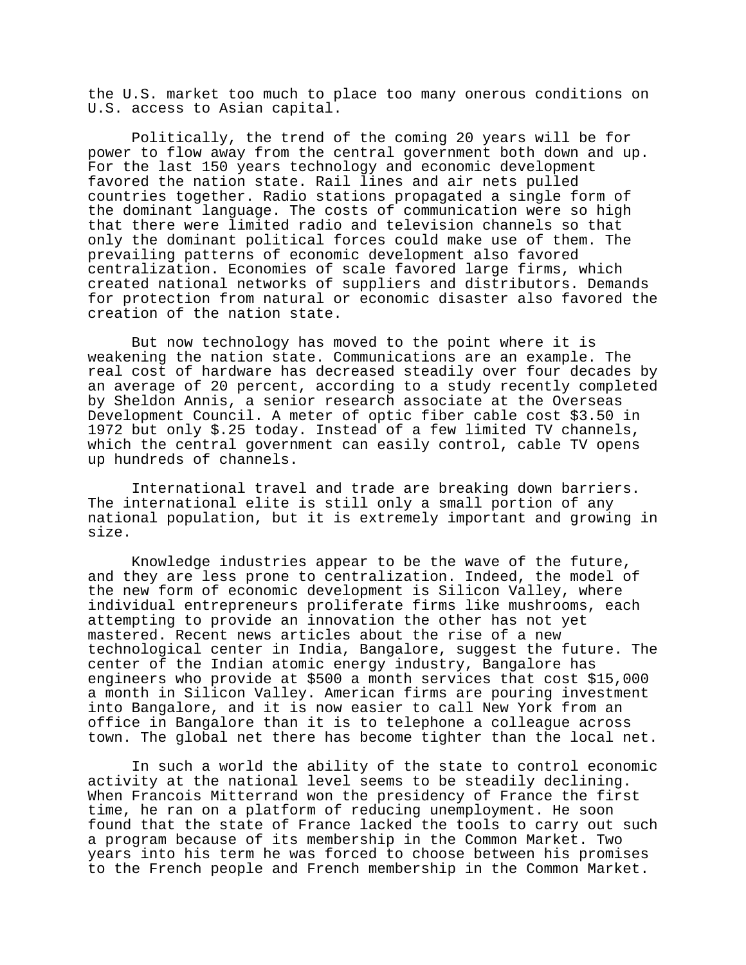the U.S. market too much to place too many onerous conditions on U.S. access to Asian capital.

Politically, the trend of the coming 20 years will be for power to flow away from the central government both down and up. For the last 150 years technology and economic development favored the nation state. Rail lines and air nets pulled countries together. Radio stations propagated a single form of the dominant language. The costs of communication were so high that there were limited radio and television channels so that only the dominant political forces could make use of them. The prevailing patterns of economic development also favored centralization. Economies of scale favored large firms, which created national networks of suppliers and distributors. Demands for protection from natural or economic disaster also favored the creation of the nation state.

But now technology has moved to the point where it is weakening the nation state. Communications are an example. The real cost of hardware has decreased steadily over four decades by an average of 20 percent, according to a study recently completed by Sheldon Annis, a senior research associate at the Overseas Development Council. A meter of optic fiber cable cost \$3.50 in 1972 but only \$.25 today. Instead of a few limited TV channels, which the central government can easily control, cable TV opens up hundreds of channels.

International travel and trade are breaking down barriers. The international elite is still only a small portion of any national population, but it is extremely important and growing in size.

Knowledge industries appear to be the wave of the future, and they are less prone to centralization. Indeed, the model of the new form of economic development is Silicon Valley, where individual entrepreneurs proliferate firms like mushrooms, each attempting to provide an innovation the other has not yet mastered. Recent news articles about the rise of a new technological center in India, Bangalore, suggest the future. The center of the Indian atomic energy industry, Bangalore has engineers who provide at \$500 a month services that cost \$15,000 a month in Silicon Valley. American firms are pouring investment into Bangalore, and it is now easier to call New York from an office in Bangalore than it is to telephone a colleague across town. The global net there has become tighter than the local net.

In such a world the ability of the state to control economic activity at the national level seems to be steadily declining. When Francois Mitterrand won the presidency of France the first time, he ran on a platform of reducing unemployment. He soon found that the state of France lacked the tools to carry out such a program because of its membership in the Common Market. Two years into his term he was forced to choose between his promises to the French people and French membership in the Common Market.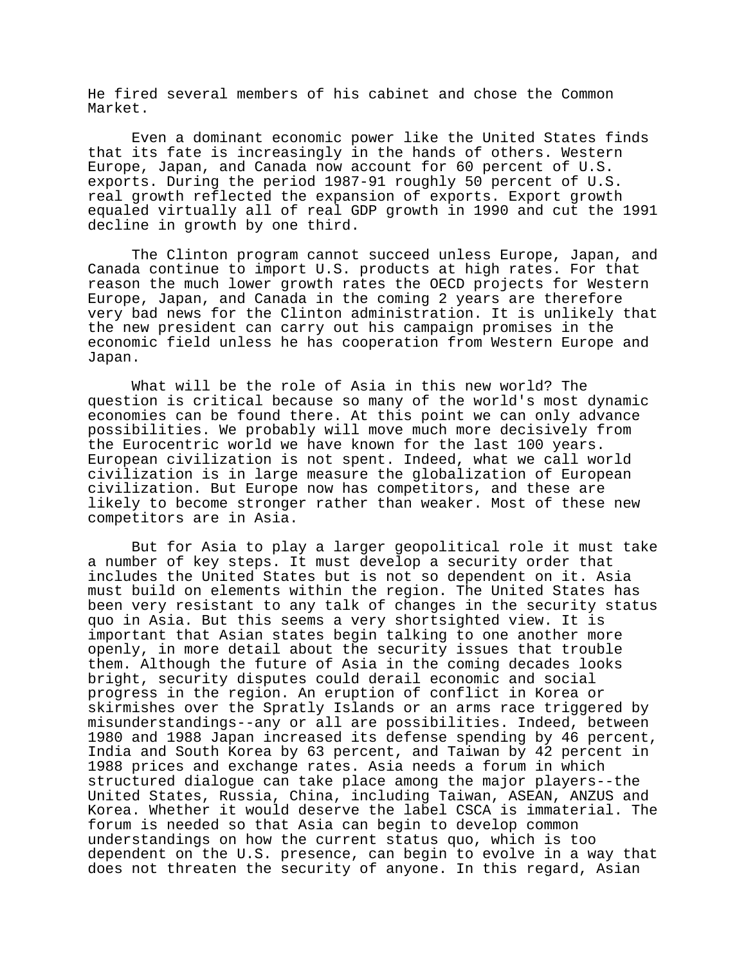He fired several members of his cabinet and chose the Common Market.

Even a dominant economic power like the United States finds that its fate is increasingly in the hands of others. Western Europe, Japan, and Canada now account for 60 percent of U.S. exports. During the period 1987-91 roughly 50 percent of U.S. real growth reflected the expansion of exports. Export growth equaled virtually all of real GDP growth in 1990 and cut the 1991 decline in growth by one third.

The Clinton program cannot succeed unless Europe, Japan, and Canada continue to import U.S. products at high rates. For that reason the much lower growth rates the OECD projects for Western Europe, Japan, and Canada in the coming 2 years are therefore very bad news for the Clinton administration. It is unlikely that the new president can carry out his campaign promises in the economic field unless he has cooperation from Western Europe and Japan.

What will be the role of Asia in this new world? The question is critical because so many of the world's most dynamic economies can be found there. At this point we can only advance possibilities. We probably will move much more decisively from the Eurocentric world we have known for the last 100 years. European civilization is not spent. Indeed, what we call world civilization is in large measure the globalization of European civilization. But Europe now has competitors, and these are likely to become stronger rather than weaker. Most of these new competitors are in Asia.

But for Asia to play a larger geopolitical role it must take a number of key steps. It must develop a security order that includes the United States but is not so dependent on it. Asia must build on elements within the region. The United States has been very resistant to any talk of changes in the security status quo in Asia. But this seems a very shortsighted view. It is important that Asian states begin talking to one another more openly, in more detail about the security issues that trouble them. Although the future of Asia in the coming decades looks bright, security disputes could derail economic and social progress in the region. An eruption of conflict in Korea or skirmishes over the Spratly Islands or an arms race triggered by misunderstandings--any or all are possibilities. Indeed, between 1980 and 1988 Japan increased its defense spending by 46 percent, India and South Korea by 63 percent, and Taiwan by 42 percent in 1988 prices and exchange rates. Asia needs a forum in which structured dialogue can take place among the major players--the United States, Russia, China, including Taiwan, ASEAN, ANZUS and Korea. Whether it would deserve the label CSCA is immaterial. The forum is needed so that Asia can begin to develop common understandings on how the current status quo, which is too dependent on the U.S. presence, can begin to evolve in a way that does not threaten the security of anyone. In this regard, Asian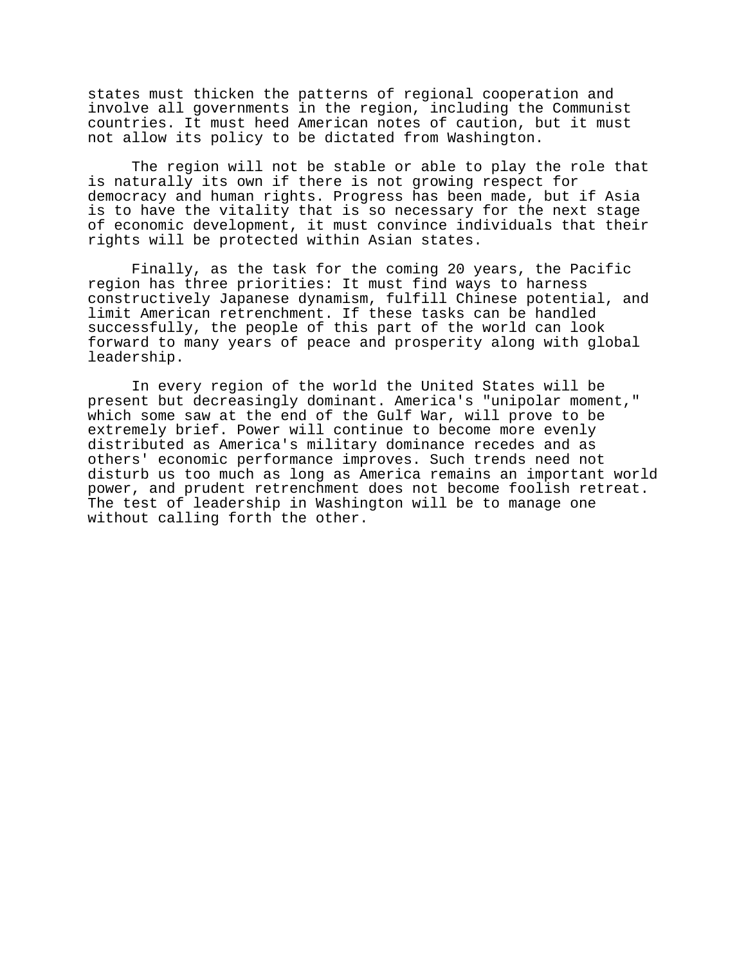states must thicken the patterns of regional cooperation and involve all governments in the region, including the Communist countries. It must heed American notes of caution, but it must not allow its policy to be dictated from Washington.

The region will not be stable or able to play the role that is naturally its own if there is not growing respect for democracy and human rights. Progress has been made, but if Asia is to have the vitality that is so necessary for the next stage of economic development, it must convince individuals that their rights will be protected within Asian states.

Finally, as the task for the coming 20 years, the Pacific region has three priorities: It must find ways to harness constructively Japanese dynamism, fulfill Chinese potential, and limit American retrenchment. If these tasks can be handled successfully, the people of this part of the world can look forward to many years of peace and prosperity along with global leadership.

In every region of the world the United States will be present but decreasingly dominant. America's "unipolar moment," which some saw at the end of the Gulf War, will prove to be extremely brief. Power will continue to become more evenly distributed as America's military dominance recedes and as others' economic performance improves. Such trends need not disturb us too much as long as America remains an important world power, and prudent retrenchment does not become foolish retreat. The test of leadership in Washington will be to manage one without calling forth the other.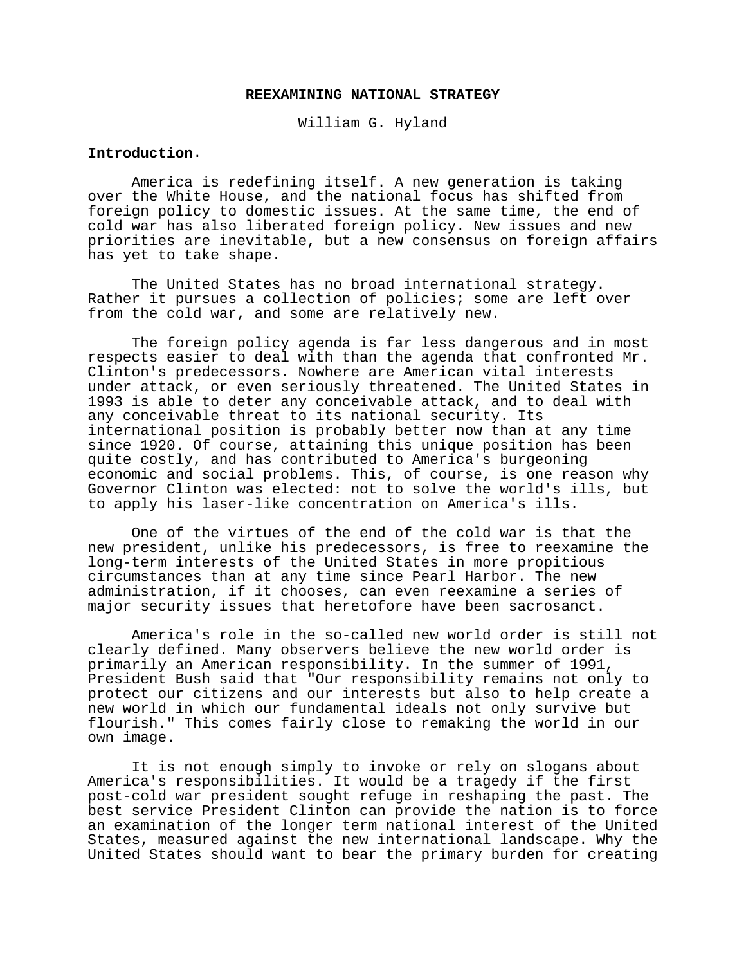#### **REEXAMINING NATIONAL STRATEGY**

William G. Hyland

### **Introduction**.

America is redefining itself. A new generation is taking over the White House, and the national focus has shifted from foreign policy to domestic issues. At the same time, the end of cold war has also liberated foreign policy. New issues and new priorities are inevitable, but a new consensus on foreign affairs has yet to take shape.

The United States has no broad international strategy. Rather it pursues a collection of policies; some are left over from the cold war, and some are relatively new.

The foreign policy agenda is far less dangerous and in most respects easier to deal with than the agenda that confronted Mr. Clinton's predecessors. Nowhere are American vital interests under attack, or even seriously threatened. The United States in 1993 is able to deter any conceivable attack, and to deal with any conceivable threat to its national security. Its international position is probably better now than at any time since 1920. Of course, attaining this unique position has been quite costly, and has contributed to America's burgeoning economic and social problems. This, of course, is one reason why Governor Clinton was elected: not to solve the world's ills, but to apply his laser-like concentration on America's ills.

One of the virtues of the end of the cold war is that the new president, unlike his predecessors, is free to reexamine the long-term interests of the United States in more propitious circumstances than at any time since Pearl Harbor. The new administration, if it chooses, can even reexamine a series of major security issues that heretofore have been sacrosanct.

America's role in the so-called new world order is still not clearly defined. Many observers believe the new world order is primarily an American responsibility. In the summer of 1991, President Bush said that "Our responsibility remains not only to protect our citizens and our interests but also to help create a new world in which our fundamental ideals not only survive but flourish." This comes fairly close to remaking the world in our own image.

It is not enough simply to invoke or rely on slogans about America's responsibilities. It would be a tragedy if the first post-cold war president sought refuge in reshaping the past. The best service President Clinton can provide the nation is to force an examination of the longer term national interest of the United States, measured against the new international landscape. Why the United States should want to bear the primary burden for creating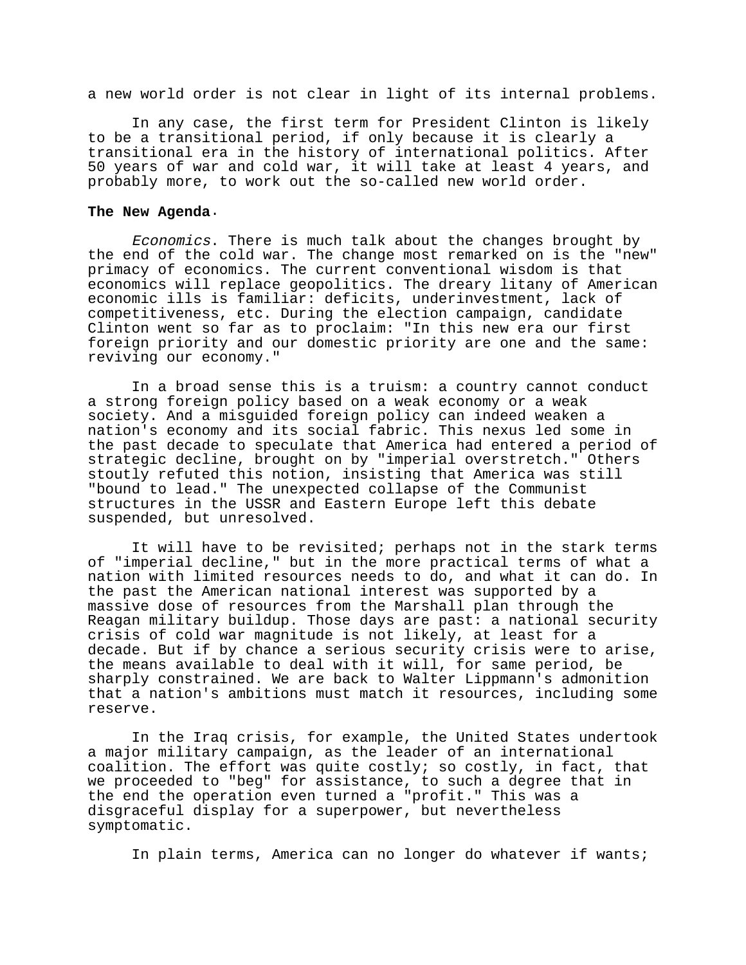a new world order is not clear in light of its internal problems.

In any case, the first term for President Clinton is likely to be a transitional period, if only because it is clearly a transitional era in the history of international politics. After 50 years of war and cold war, it will take at least 4 years, and probably more, to work out the so-called new world order.

#### **The New Agenda**.

Economics. There is much talk about the changes brought by the end of the cold war. The change most remarked on is the "new" primacy of economics. The current conventional wisdom is that economics will replace geopolitics. The dreary litany of American economic ills is familiar: deficits, underinvestment, lack of competitiveness, etc. During the election campaign, candidate Clinton went so far as to proclaim: "In this new era our first foreign priority and our domestic priority are one and the same: reviving our economy."

In a broad sense this is a truism: a country cannot conduct a strong foreign policy based on a weak economy or a weak society. And a misguided foreign policy can indeed weaken a nation's economy and its social fabric. This nexus led some in the past decade to speculate that America had entered a period of strategic decline, brought on by "imperial overstretch." Others stoutly refuted this notion, insisting that America was still "bound to lead." The unexpected collapse of the Communist structures in the USSR and Eastern Europe left this debate suspended, but unresolved.

It will have to be revisited; perhaps not in the stark terms of "imperial decline," but in the more practical terms of what a nation with limited resources needs to do, and what it can do. In the past the American national interest was supported by a massive dose of resources from the Marshall plan through the Reagan military buildup. Those days are past: a national security crisis of cold war magnitude is not likely, at least for a decade. But if by chance a serious security crisis were to arise, the means available to deal with it will, for same period, be sharply constrained. We are back to Walter Lippmann's admonition that a nation's ambitions must match it resources, including some reserve.

In the Iraq crisis, for example, the United States undertook a major military campaign, as the leader of an international coalition. The effort was quite costly; so costly, in fact, that we proceeded to "beg" for assistance, to such a degree that in the end the operation even turned a "profit." This was a disgraceful display for a superpower, but nevertheless symptomatic.

In plain terms, America can no longer do whatever if wants;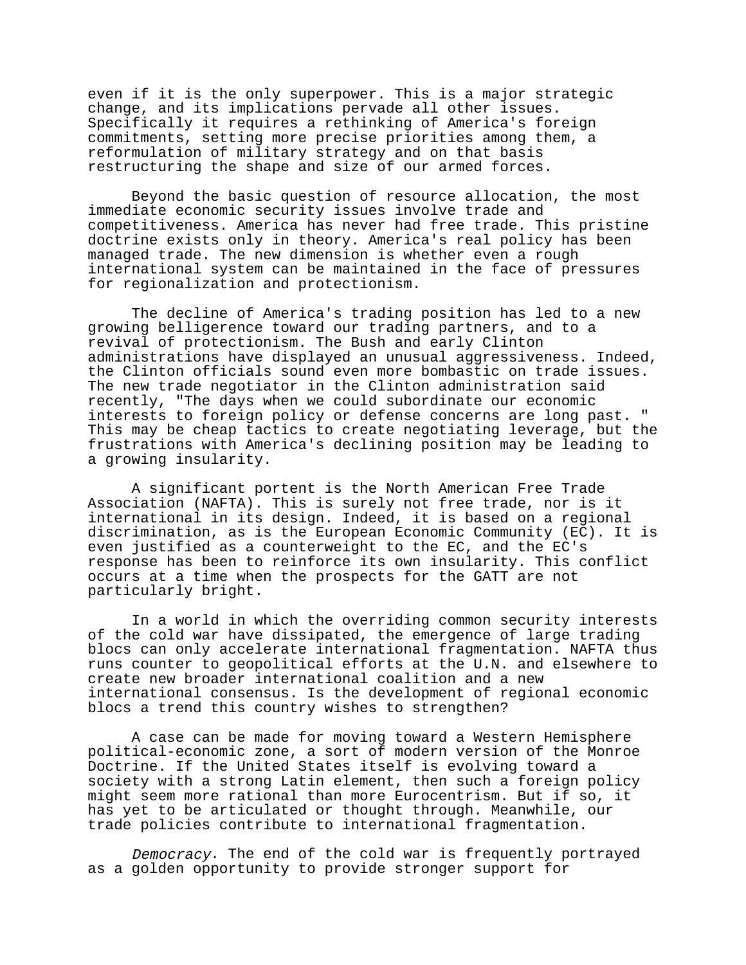even if it is the only superpower. This is a major strategic change, and its implications pervade all other issues. Specifically it requires a rethinking of America's foreign commitments, setting more precise priorities among them, a reformulation of military strategy and on that basis restructuring the shape and size of our armed forces.

Beyond the basic question of resource allocation, the most immediate economic security issues involve trade and competitiveness. America has never had free trade. This pristine doctrine exists only in theory. America's real policy has been managed trade. The new dimension is whether even a rough international system can be maintained in the face of pressures for regionalization and protectionism.

The decline of America's trading position has led to a new growing belligerence toward our trading partners, and to a revival of protectionism. The Bush and early Clinton administrations have displayed an unusual aggressiveness. Indeed, the Clinton officials sound even more bombastic on trade issues. The new trade negotiator in the Clinton administration said recently, "The days when we could subordinate our economic interests to foreign policy or defense concerns are long past. " This may be cheap tactics to create negotiating leverage, but the frustrations with America's declining position may be leading to a growing insularity.

A significant portent is the North American Free Trade Association (NAFTA). This is surely not free trade, nor is it international in its design. Indeed, it is based on a regional discrimination, as is the European Economic Community (EC). It is even justified as a counterweight to the EC, and the EC's response has been to reinforce its own insularity. This conflict occurs at a time when the prospects for the GATT are not particularly bright.

In a world in which the overriding common security interests of the cold war have dissipated, the emergence of large trading blocs can only accelerate international fragmentation. NAFTA thus runs counter to geopolitical efforts at the U.N. and elsewhere to create new broader international coalition and a new international consensus. Is the development of regional economic blocs a trend this country wishes to strengthen?

A case can be made for moving toward a Western Hemisphere political-economic zone, a sort of modern version of the Monroe Doctrine. If the United States itself is evolving toward a society with a strong Latin element, then such a foreign policy might seem more rational than more Eurocentrism. But if so, it has yet to be articulated or thought through. Meanwhile, our trade policies contribute to international fragmentation.

Democracy. The end of the cold war is frequently portrayed as a golden opportunity to provide stronger support for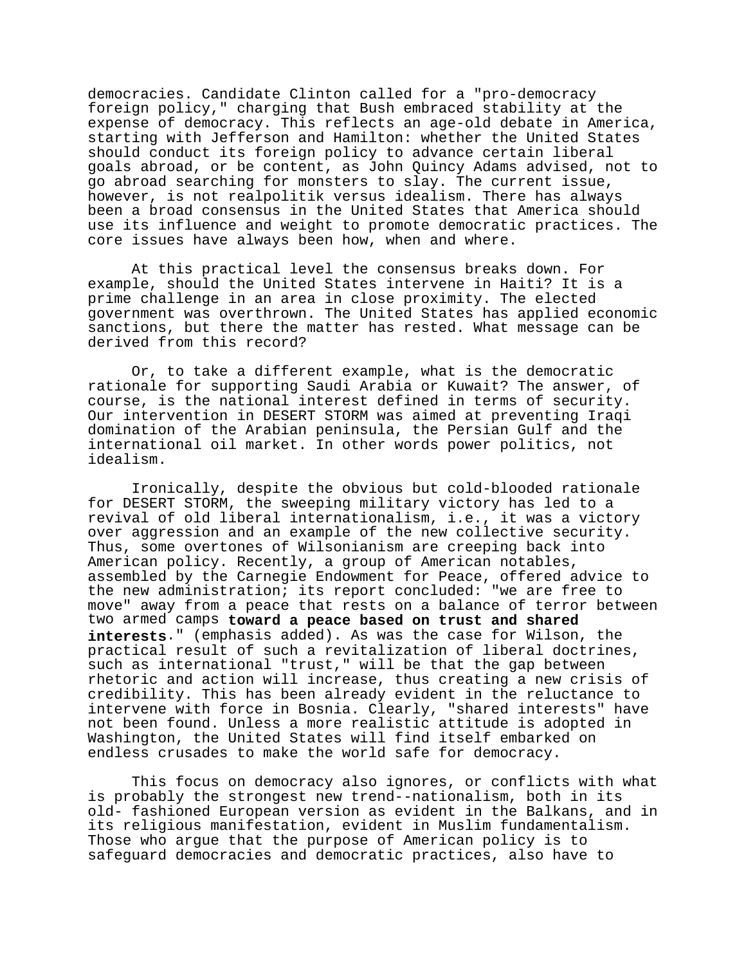democracies. Candidate Clinton called for a "pro-democracy foreign policy," charging that Bush embraced stability at the expense of democracy. This reflects an age-old debate in America, starting with Jefferson and Hamilton: whether the United States should conduct its foreign policy to advance certain liberal goals abroad, or be content, as John Quincy Adams advised, not to go abroad searching for monsters to slay. The current issue, however, is not realpolitik versus idealism. There has always been a broad consensus in the United States that America should use its influence and weight to promote democratic practices. The core issues have always been how, when and where.

At this practical level the consensus breaks down. For example, should the United States intervene in Haiti? It is a prime challenge in an area in close proximity. The elected government was overthrown. The United States has applied economic sanctions, but there the matter has rested. What message can be derived from this record?

Or, to take a different example, what is the democratic rationale for supporting Saudi Arabia or Kuwait? The answer, of course, is the national interest defined in terms of security. Our intervention in DESERT STORM was aimed at preventing Iraqi domination of the Arabian peninsula, the Persian Gulf and the international oil market. In other words power politics, not idealism.

Ironically, despite the obvious but cold-blooded rationale for DESERT STORM, the sweeping military victory has led to a revival of old liberal internationalism, i.e., it was a victory over aggression and an example of the new collective security. Thus, some overtones of Wilsonianism are creeping back into American policy. Recently, a group of American notables, assembled by the Carnegie Endowment for Peace, offered advice to the new administration; its report concluded: "we are free to move" away from a peace that rests on a balance of terror between two armed camps **toward a peace based on trust and shared interests**." (emphasis added). As was the case for Wilson, the practical result of such a revitalization of liberal doctrines, such as international "trust," will be that the gap between rhetoric and action will increase, thus creating a new crisis of credibility. This has been already evident in the reluctance to intervene with force in Bosnia. Clearly, "shared interests" have not been found. Unless a more realistic attitude is adopted in Washington, the United States will find itself embarked on endless crusades to make the world safe for democracy.

This focus on democracy also ignores, or conflicts with what is probably the strongest new trend--nationalism, both in its old- fashioned European version as evident in the Balkans, and in its religious manifestation, evident in Muslim fundamentalism. Those who argue that the purpose of American policy is to safeguard democracies and democratic practices, also have to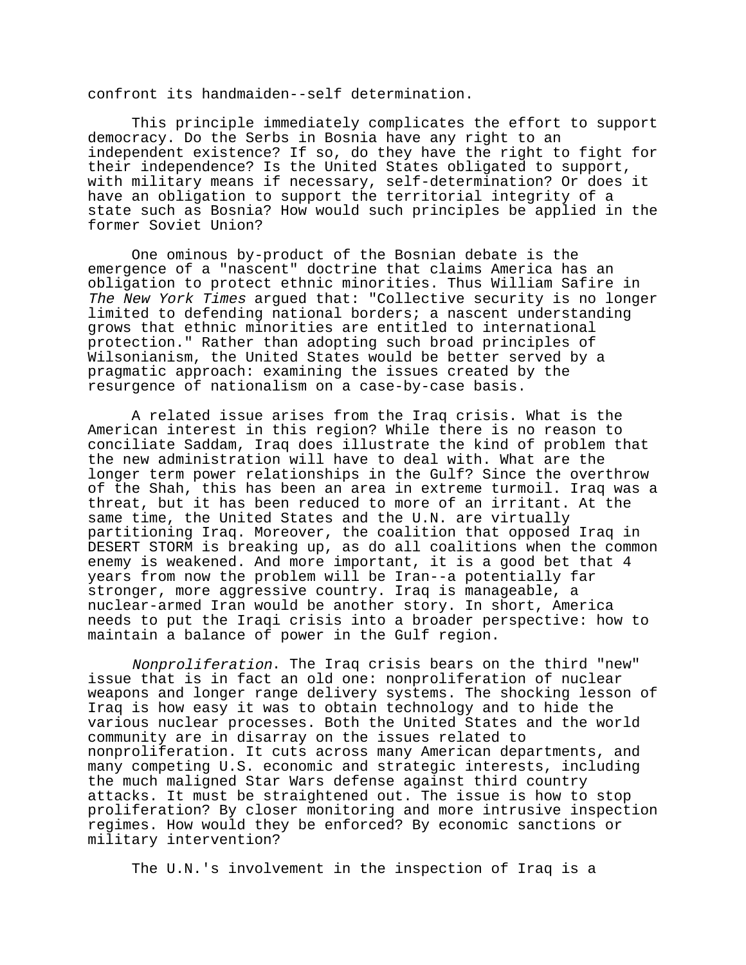confront its handmaiden--self determination.

This principle immediately complicates the effort to support democracy. Do the Serbs in Bosnia have any right to an independent existence? If so, do they have the right to fight for their independence? Is the United States obligated to support, with military means if necessary, self-determination? Or does it have an obligation to support the territorial integrity of a state such as Bosnia? How would such principles be applied in the former Soviet Union?

One ominous by-product of the Bosnian debate is the emergence of a "nascent" doctrine that claims America has an obligation to protect ethnic minorities. Thus William Safire in The New York Times arqued that: "Collective security is no longer limited to defending national borders; a nascent understanding grows that ethnic minorities are entitled to international protection." Rather than adopting such broad principles of Wilsonianism, the United States would be better served by a pragmatic approach: examining the issues created by the resurgence of nationalism on a case-by-case basis.

A related issue arises from the Iraq crisis. What is the American interest in this region? While there is no reason to conciliate Saddam, Iraq does illustrate the kind of problem that the new administration will have to deal with. What are the longer term power relationships in the Gulf? Since the overthrow of the Shah, this has been an area in extreme turmoil. Iraq was a threat, but it has been reduced to more of an irritant. At the same time, the United States and the U.N. are virtually partitioning Iraq. Moreover, the coalition that opposed Iraq in DESERT STORM is breaking up, as do all coalitions when the common enemy is weakened. And more important, it is a good bet that 4 years from now the problem will be Iran--a potentially far stronger, more aggressive country. Iraq is manageable, a nuclear-armed Iran would be another story. In short, America needs to put the Iraqi crisis into a broader perspective: how to maintain a balance of power in the Gulf region.

Nonproliferation. The Iraq crisis bears on the third "new" issue that is in fact an old one: nonproliferation of nuclear weapons and longer range delivery systems. The shocking lesson of Iraq is how easy it was to obtain technology and to hide the various nuclear processes. Both the United States and the world community are in disarray on the issues related to nonproliferation. It cuts across many American departments, and many competing U.S. economic and strategic interests, including the much maligned Star Wars defense against third country attacks. It must be straightened out. The issue is how to stop proliferation? By closer monitoring and more intrusive inspection regimes. How would they be enforced? By economic sanctions or military intervention?

The U.N.'s involvement in the inspection of Iraq is a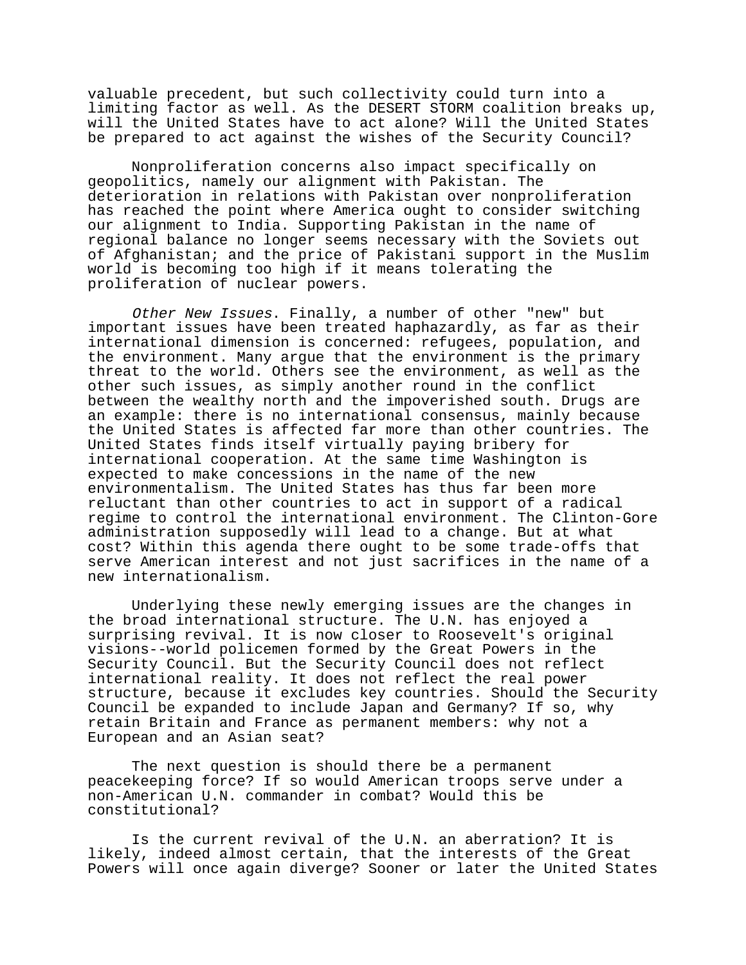valuable precedent, but such collectivity could turn into a limiting factor as well. As the DESERT STORM coalition breaks up, will the United States have to act alone? Will the United States be prepared to act against the wishes of the Security Council?

Nonproliferation concerns also impact specifically on geopolitics, namely our alignment with Pakistan. The deterioration in relations with Pakistan over nonproliferation has reached the point where America ought to consider switching our alignment to India. Supporting Pakistan in the name of regional balance no longer seems necessary with the Soviets out of Afghanistan; and the price of Pakistani support in the Muslim world is becoming too high if it means tolerating the proliferation of nuclear powers.

Other New Issues. Finally, a number of other "new" but important issues have been treated haphazardly, as far as their international dimension is concerned: refugees, population, and the environment. Many argue that the environment is the primary threat to the world. Others see the environment, as well as the other such issues, as simply another round in the conflict between the wealthy north and the impoverished south. Drugs are an example: there is no international consensus, mainly because the United States is affected far more than other countries. The United States finds itself virtually paying bribery for international cooperation. At the same time Washington is expected to make concessions in the name of the new environmentalism. The United States has thus far been more reluctant than other countries to act in support of a radical regime to control the international environment. The Clinton-Gore administration supposedly will lead to a change. But at what cost? Within this agenda there ought to be some trade-offs that serve American interest and not just sacrifices in the name of a new internationalism.

Underlying these newly emerging issues are the changes in the broad international structure. The U.N. has enjoyed a surprising revival. It is now closer to Roosevelt's original visions--world policemen formed by the Great Powers in the Security Council. But the Security Council does not reflect international reality. It does not reflect the real power structure, because it excludes key countries. Should the Security Council be expanded to include Japan and Germany? If so, why retain Britain and France as permanent members: why not a European and an Asian seat?

The next question is should there be a permanent peacekeeping force? If so would American troops serve under a non-American U.N. commander in combat? Would this be constitutional?

Is the current revival of the U.N. an aberration? It is likely, indeed almost certain, that the interests of the Great Powers will once again diverge? Sooner or later the United States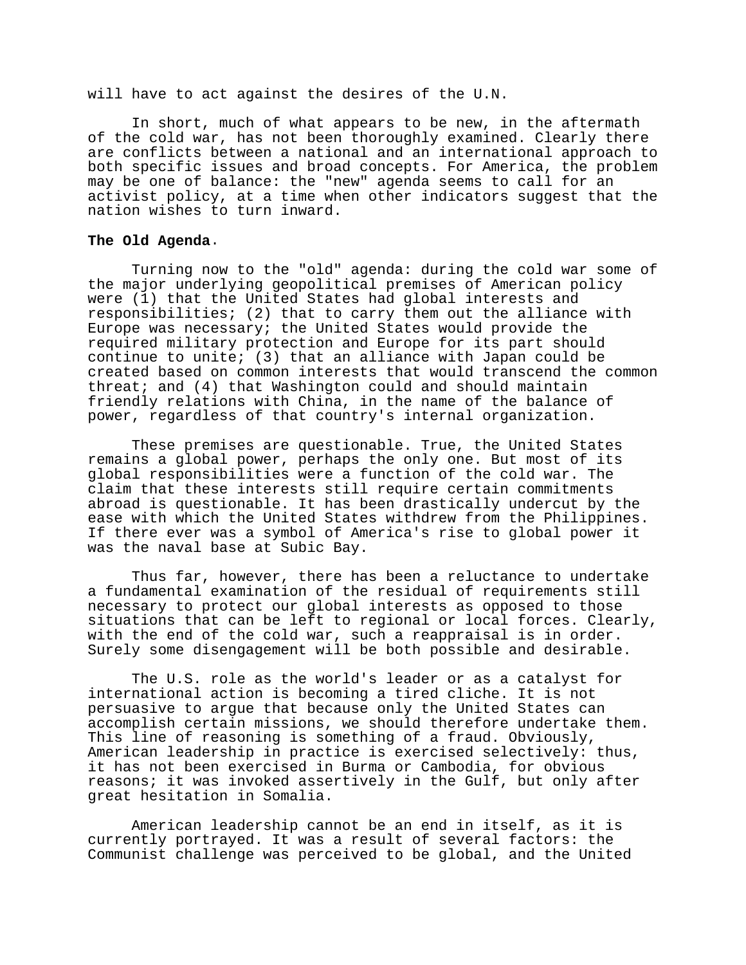will have to act against the desires of the U.N.

In short, much of what appears to be new, in the aftermath of the cold war, has not been thoroughly examined. Clearly there are conflicts between a national and an international approach to both specific issues and broad concepts. For America, the problem may be one of balance: the "new" agenda seems to call for an activist policy, at a time when other indicators suggest that the nation wishes to turn inward.

### **The Old Agenda**.

Turning now to the "old" agenda: during the cold war some of the major underlying geopolitical premises of American policy were (1) that the United States had global interests and responsibilities; (2) that to carry them out the alliance with Europe was necessary; the United States would provide the required military protection and Europe for its part should continue to unite; (3) that an alliance with Japan could be created based on common interests that would transcend the common threat; and (4) that Washington could and should maintain friendly relations with China, in the name of the balance of power, regardless of that country's internal organization.

These premises are questionable. True, the United States remains a global power, perhaps the only one. But most of its global responsibilities were a function of the cold war. The claim that these interests still require certain commitments abroad is questionable. It has been drastically undercut by the ease with which the United States withdrew from the Philippines. If there ever was a symbol of America's rise to global power it was the naval base at Subic Bay.

Thus far, however, there has been a reluctance to undertake a fundamental examination of the residual of requirements still necessary to protect our global interests as opposed to those situations that can be left to regional or local forces. Clearly, with the end of the cold war, such a reappraisal is in order. Surely some disengagement will be both possible and desirable.

The U.S. role as the world's leader or as a catalyst for international action is becoming a tired cliche. It is not persuasive to argue that because only the United States can accomplish certain missions, we should therefore undertake them. This line of reasoning is something of a fraud. Obviously, American leadership in practice is exercised selectively: thus, it has not been exercised in Burma or Cambodia, for obvious reasons; it was invoked assertively in the Gulf, but only after great hesitation in Somalia.

American leadership cannot be an end in itself, as it is currently portrayed. It was a result of several factors: the Communist challenge was perceived to be global, and the United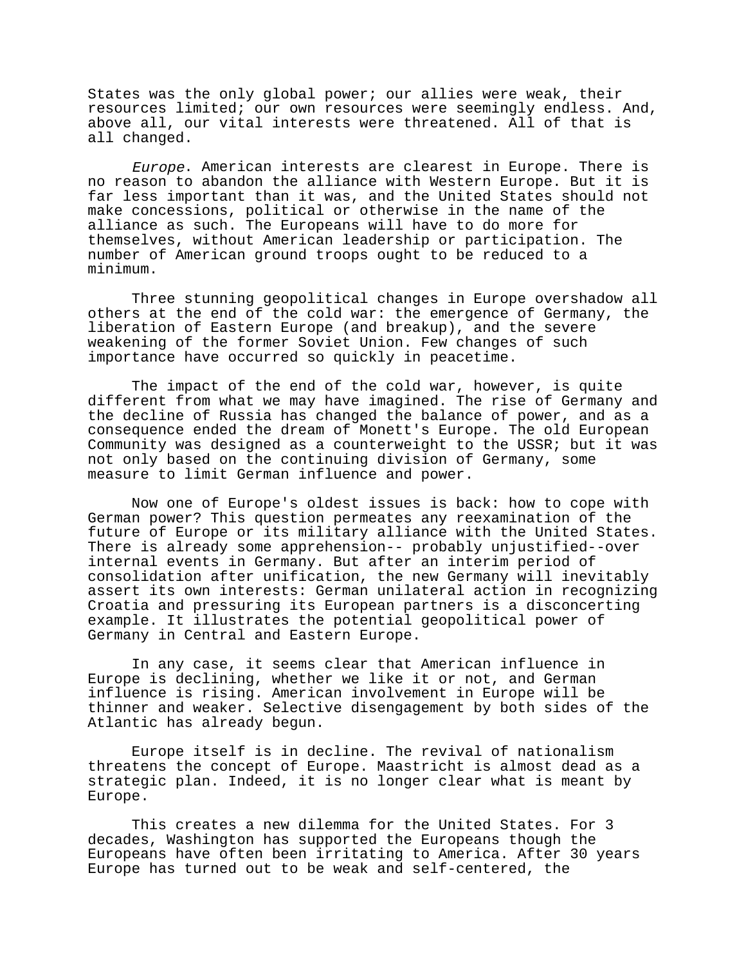States was the only global power; our allies were weak, their resources limited; our own resources were seemingly endless. And, above all, our vital interests were threatened. All of that is all changed.

Europe. American interests are clearest in Europe. There is no reason to abandon the alliance with Western Europe. But it is far less important than it was, and the United States should not make concessions, political or otherwise in the name of the alliance as such. The Europeans will have to do more for themselves, without American leadership or participation. The number of American ground troops ought to be reduced to a minimum.

Three stunning geopolitical changes in Europe overshadow all others at the end of the cold war: the emergence of Germany, the liberation of Eastern Europe (and breakup), and the severe weakening of the former Soviet Union. Few changes of such importance have occurred so quickly in peacetime.

The impact of the end of the cold war, however, is quite different from what we may have imagined. The rise of Germany and the decline of Russia has changed the balance of power, and as a consequence ended the dream of Monett's Europe. The old European Community was designed as a counterweight to the USSR; but it was not only based on the continuing division of Germany, some measure to limit German influence and power.

Now one of Europe's oldest issues is back: how to cope with German power? This question permeates any reexamination of the future of Europe or its military alliance with the United States. There is already some apprehension-- probably unjustified--over internal events in Germany. But after an interim period of consolidation after unification, the new Germany will inevitably assert its own interests: German unilateral action in recognizing Croatia and pressuring its European partners is a disconcerting example. It illustrates the potential geopolitical power of Germany in Central and Eastern Europe.

In any case, it seems clear that American influence in Europe is declining, whether we like it or not, and German influence is rising. American involvement in Europe will be thinner and weaker. Selective disengagement by both sides of the Atlantic has already begun.

Europe itself is in decline. The revival of nationalism threatens the concept of Europe. Maastricht is almost dead as a strategic plan. Indeed, it is no longer clear what is meant by Europe.

This creates a new dilemma for the United States. For 3 decades, Washington has supported the Europeans though the Europeans have often been irritating to America. After 30 years Europe has turned out to be weak and self-centered, the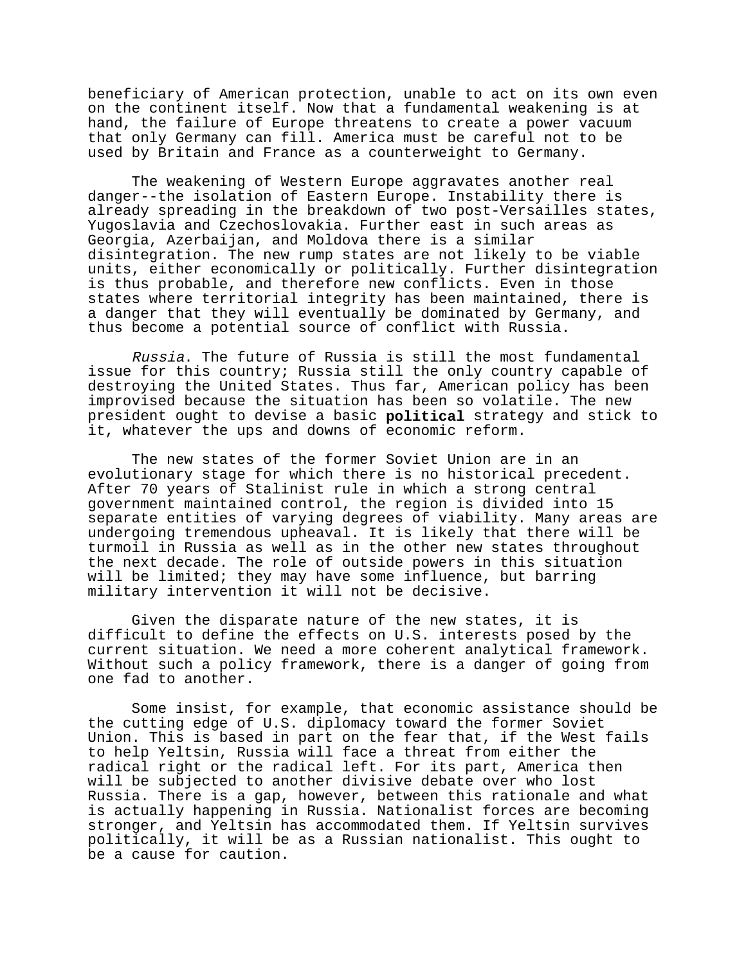beneficiary of American protection, unable to act on its own even on the continent itself. Now that a fundamental weakening is at hand, the failure of Europe threatens to create a power vacuum that only Germany can fill. America must be careful not to be used by Britain and France as a counterweight to Germany.

The weakening of Western Europe aggravates another real danger--the isolation of Eastern Europe. Instability there is already spreading in the breakdown of two post-Versailles states, Yugoslavia and Czechoslovakia. Further east in such areas as Georgia, Azerbaijan, and Moldova there is a similar disintegration. The new rump states are not likely to be viable units, either economically or politically. Further disintegration is thus probable, and therefore new conflicts. Even in those states where territorial integrity has been maintained, there is a danger that they will eventually be dominated by Germany, and thus become a potential source of conflict with Russia.

Russia. The future of Russia is still the most fundamental issue for this country; Russia still the only country capable of destroying the United States. Thus far, American policy has been improvised because the situation has been so volatile. The new president ought to devise a basic **political** strategy and stick to it, whatever the ups and downs of economic reform.

The new states of the former Soviet Union are in an evolutionary stage for which there is no historical precedent. After 70 years of Stalinist rule in which a strong central government maintained control, the region is divided into 15 separate entities of varying degrees of viability. Many areas are undergoing tremendous upheaval. It is likely that there will be turmoil in Russia as well as in the other new states throughout the next decade. The role of outside powers in this situation will be limited; they may have some influence, but barring military intervention it will not be decisive.

Given the disparate nature of the new states, it is difficult to define the effects on U.S. interests posed by the current situation. We need a more coherent analytical framework. Without such a policy framework, there is a danger of going from one fad to another.

Some insist, for example, that economic assistance should be the cutting edge of U.S. diplomacy toward the former Soviet Union. This is based in part on the fear that, if the West fails to help Yeltsin, Russia will face a threat from either the radical right or the radical left. For its part, America then will be subjected to another divisive debate over who lost Russia. There is a gap, however, between this rationale and what is actually happening in Russia. Nationalist forces are becoming stronger, and Yeltsin has accommodated them. If Yeltsin survives politically, it will be as a Russian nationalist. This ought to be a cause for caution.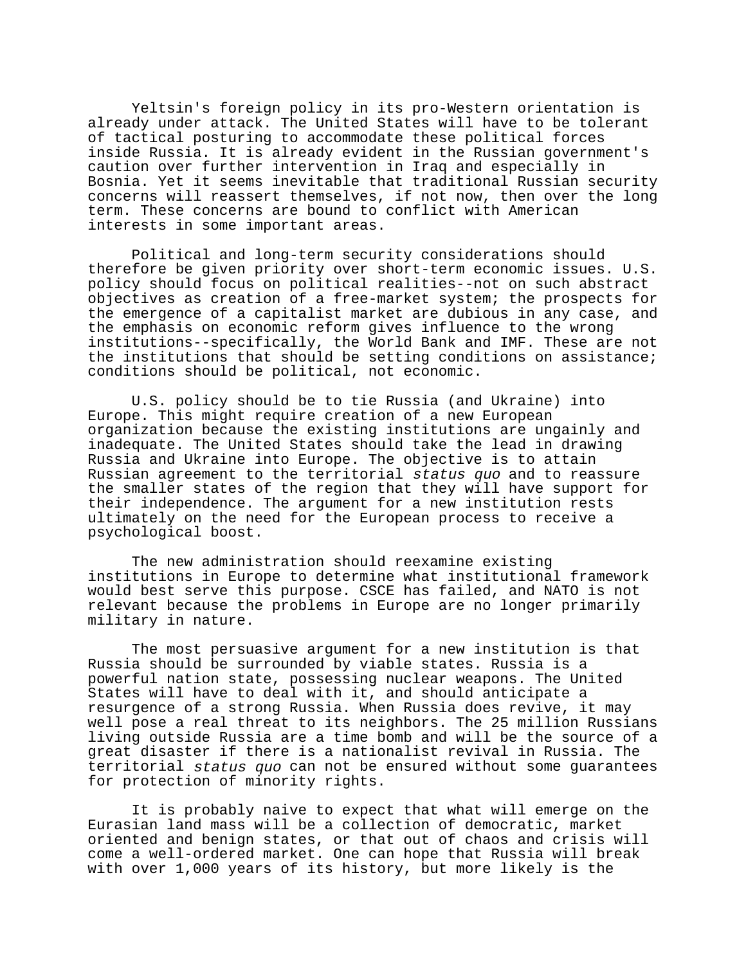Yeltsin's foreign policy in its pro-Western orientation is already under attack. The United States will have to be tolerant of tactical posturing to accommodate these political forces inside Russia. It is already evident in the Russian government's caution over further intervention in Iraq and especially in Bosnia. Yet it seems inevitable that traditional Russian security concerns will reassert themselves, if not now, then over the long term. These concerns are bound to conflict with American interests in some important areas.

Political and long-term security considerations should therefore be given priority over short-term economic issues. U.S. policy should focus on political realities--not on such abstract objectives as creation of a free-market system; the prospects for the emergence of a capitalist market are dubious in any case, and the emphasis on economic reform gives influence to the wrong institutions--specifically, the World Bank and IMF. These are not the institutions that should be setting conditions on assistance; conditions should be political, not economic.

U.S. policy should be to tie Russia (and Ukraine) into Europe. This might require creation of a new European organization because the existing institutions are ungainly and inadequate. The United States should take the lead in drawing Russia and Ukraine into Europe. The objective is to attain Russian agreement to the territorial status quo and to reassure the smaller states of the region that they will have support for their independence. The argument for a new institution rests ultimately on the need for the European process to receive a psychological boost.

The new administration should reexamine existing institutions in Europe to determine what institutional framework would best serve this purpose. CSCE has failed, and NATO is not relevant because the problems in Europe are no longer primarily military in nature.

The most persuasive argument for a new institution is that Russia should be surrounded by viable states. Russia is a powerful nation state, possessing nuclear weapons. The United States will have to deal with it, and should anticipate a resurgence of a strong Russia. When Russia does revive, it may well pose a real threat to its neighbors. The 25 million Russians living outside Russia are a time bomb and will be the source of a great disaster if there is a nationalist revival in Russia. The territorial status quo can not be ensured without some guarantees for protection of minority rights.

It is probably naive to expect that what will emerge on the Eurasian land mass will be a collection of democratic, market oriented and benign states, or that out of chaos and crisis will come a well-ordered market. One can hope that Russia will break with over 1,000 years of its history, but more likely is the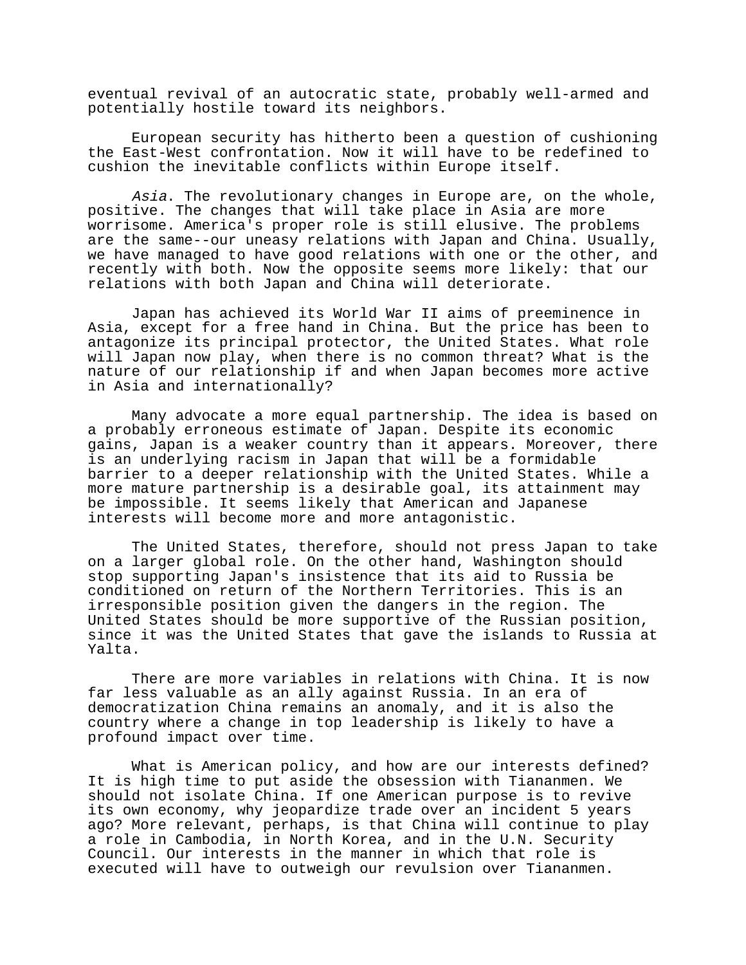eventual revival of an autocratic state, probably well-armed and potentially hostile toward its neighbors.

European security has hitherto been a question of cushioning the East-West confrontation. Now it will have to be redefined to cushion the inevitable conflicts within Europe itself.

Asia. The revolutionary changes in Europe are, on the whole, positive. The changes that will take place in Asia are more worrisome. America's proper role is still elusive. The problems are the same--our uneasy relations with Japan and China. Usually, we have managed to have good relations with one or the other, and recently with both. Now the opposite seems more likely: that our relations with both Japan and China will deteriorate.

Japan has achieved its World War II aims of preeminence in Asia, except for a free hand in China. But the price has been to antagonize its principal protector, the United States. What role will Japan now play, when there is no common threat? What is the nature of our relationship if and when Japan becomes more active in Asia and internationally?

Many advocate a more equal partnership. The idea is based on a probably erroneous estimate of Japan. Despite its economic gains, Japan is a weaker country than it appears. Moreover, there is an underlying racism in Japan that will be a formidable barrier to a deeper relationship with the United States. While a more mature partnership is a desirable goal, its attainment may be impossible. It seems likely that American and Japanese interests will become more and more antagonistic.

The United States, therefore, should not press Japan to take on a larger global role. On the other hand, Washington should stop supporting Japan's insistence that its aid to Russia be conditioned on return of the Northern Territories. This is an irresponsible position given the dangers in the region. The United States should be more supportive of the Russian position, since it was the United States that gave the islands to Russia at Yalta.

There are more variables in relations with China. It is now far less valuable as an ally against Russia. In an era of democratization China remains an anomaly, and it is also the country where a change in top leadership is likely to have a profound impact over time.

What is American policy, and how are our interests defined? It is high time to put aside the obsession with Tiananmen. We should not isolate China. If one American purpose is to revive its own economy, why jeopardize trade over an incident 5 years ago? More relevant, perhaps, is that China will continue to play a role in Cambodia, in North Korea, and in the U.N. Security Council. Our interests in the manner in which that role is executed will have to outweigh our revulsion over Tiananmen.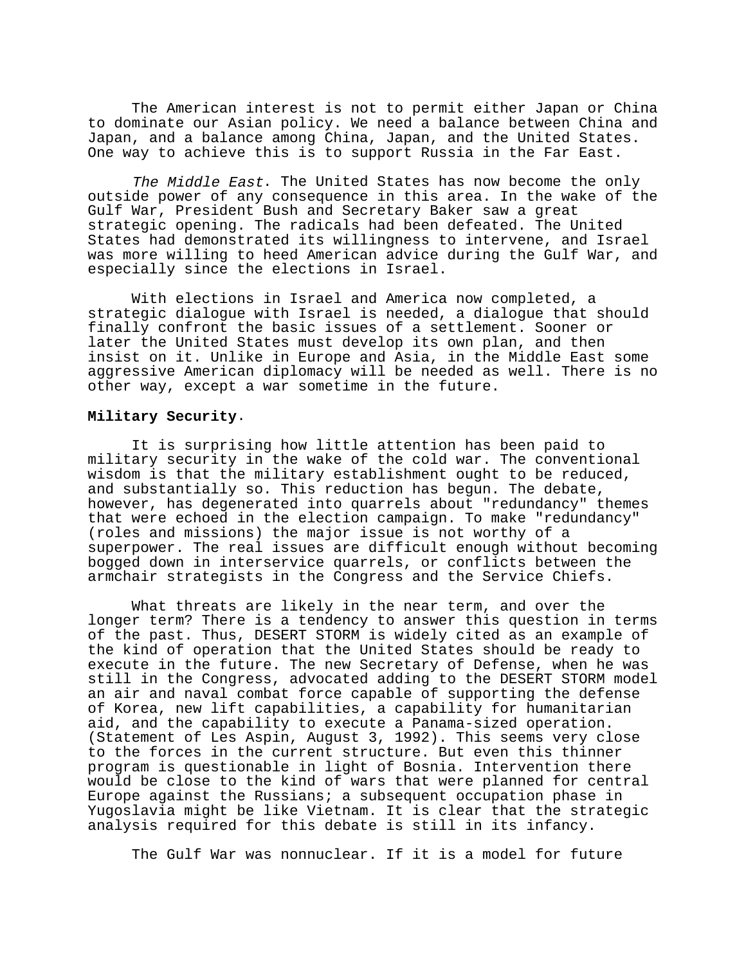The American interest is not to permit either Japan or China to dominate our Asian policy. We need a balance between China and Japan, and a balance among China, Japan, and the United States. One way to achieve this is to support Russia in the Far East.

The Middle East. The United States has now become the only outside power of any consequence in this area. In the wake of the Gulf War, President Bush and Secretary Baker saw a great strategic opening. The radicals had been defeated. The United States had demonstrated its willingness to intervene, and Israel was more willing to heed American advice during the Gulf War, and especially since the elections in Israel.

With elections in Israel and America now completed, a strategic dialogue with Israel is needed, a dialogue that should finally confront the basic issues of a settlement. Sooner or later the United States must develop its own plan, and then insist on it. Unlike in Europe and Asia, in the Middle East some aggressive American diplomacy will be needed as well. There is no other way, except a war sometime in the future.

### **Military Security**.

It is surprising how little attention has been paid to military security in the wake of the cold war. The conventional wisdom is that the military establishment ought to be reduced, and substantially so. This reduction has begun. The debate, however, has degenerated into quarrels about "redundancy" themes that were echoed in the election campaign. To make "redundancy" (roles and missions) the major issue is not worthy of a superpower. The real issues are difficult enough without becoming bogged down in interservice quarrels, or conflicts between the armchair strategists in the Congress and the Service Chiefs.

What threats are likely in the near term, and over the longer term? There is a tendency to answer this question in terms of the past. Thus, DESERT STORM is widely cited as an example of the kind of operation that the United States should be ready to execute in the future. The new Secretary of Defense, when he was still in the Congress, advocated adding to the DESERT STORM model an air and naval combat force capable of supporting the defense of Korea, new lift capabilities, a capability for humanitarian aid, and the capability to execute a Panama-sized operation. (Statement of Les Aspin, August 3, 1992). This seems very close to the forces in the current structure. But even this thinner program is questionable in light of Bosnia. Intervention there would be close to the kind of wars that were planned for central Europe against the Russians; a subsequent occupation phase in Yugoslavia might be like Vietnam. It is clear that the strategic analysis required for this debate is still in its infancy.

The Gulf War was nonnuclear. If it is a model for future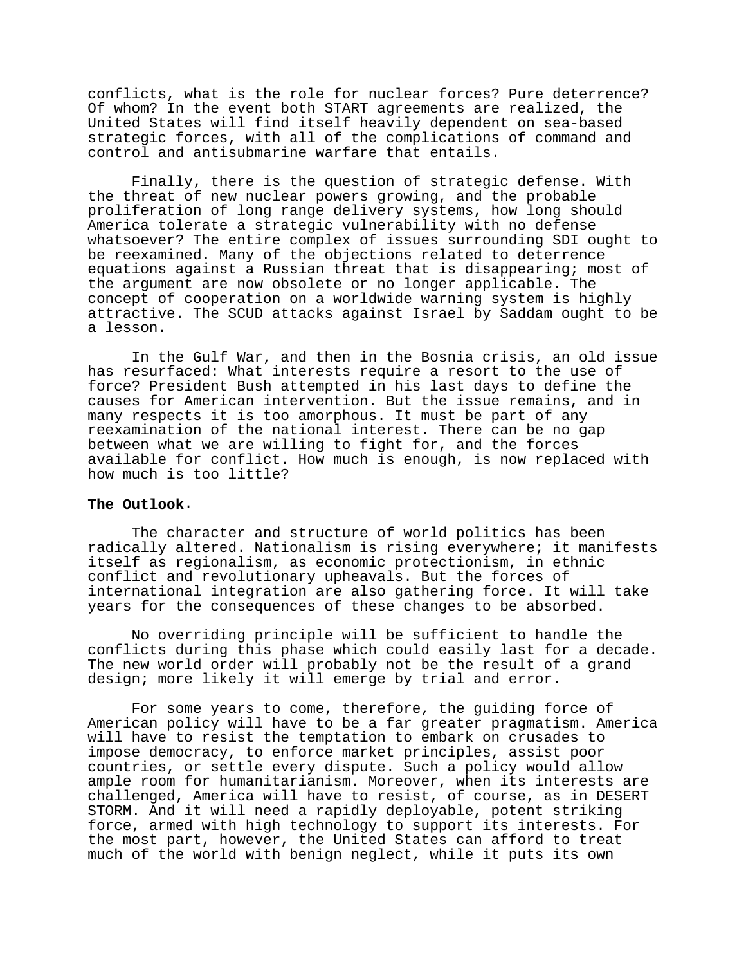conflicts, what is the role for nuclear forces? Pure deterrence? Of whom? In the event both START agreements are realized, the United States will find itself heavily dependent on sea-based strategic forces, with all of the complications of command and control and antisubmarine warfare that entails.

Finally, there is the question of strategic defense. With the threat of new nuclear powers growing, and the probable proliferation of long range delivery systems, how long should America tolerate a strategic vulnerability with no defense whatsoever? The entire complex of issues surrounding SDI ought to be reexamined. Many of the objections related to deterrence equations against a Russian threat that is disappearing; most of the argument are now obsolete or no longer applicable. The concept of cooperation on a worldwide warning system is highly attractive. The SCUD attacks against Israel by Saddam ought to be a lesson.

In the Gulf War, and then in the Bosnia crisis, an old issue has resurfaced: What interests require a resort to the use of force? President Bush attempted in his last days to define the causes for American intervention. But the issue remains, and in many respects it is too amorphous. It must be part of any reexamination of the national interest. There can be no gap between what we are willing to fight for, and the forces available for conflict. How much is enough, is now replaced with how much is too little?

### **The Outlook**.

The character and structure of world politics has been radically altered. Nationalism is rising everywhere; it manifests itself as regionalism, as economic protectionism, in ethnic conflict and revolutionary upheavals. But the forces of international integration are also gathering force. It will take years for the consequences of these changes to be absorbed.

No overriding principle will be sufficient to handle the conflicts during this phase which could easily last for a decade. The new world order will probably not be the result of a grand design; more likely it will emerge by trial and error.

For some years to come, therefore, the guiding force of American policy will have to be a far greater pragmatism. America will have to resist the temptation to embark on crusades to impose democracy, to enforce market principles, assist poor countries, or settle every dispute. Such a policy would allow ample room for humanitarianism. Moreover, when its interests are challenged, America will have to resist, of course, as in DESERT STORM. And it will need a rapidly deployable, potent striking force, armed with high technology to support its interests. For the most part, however, the United States can afford to treat much of the world with benign neglect, while it puts its own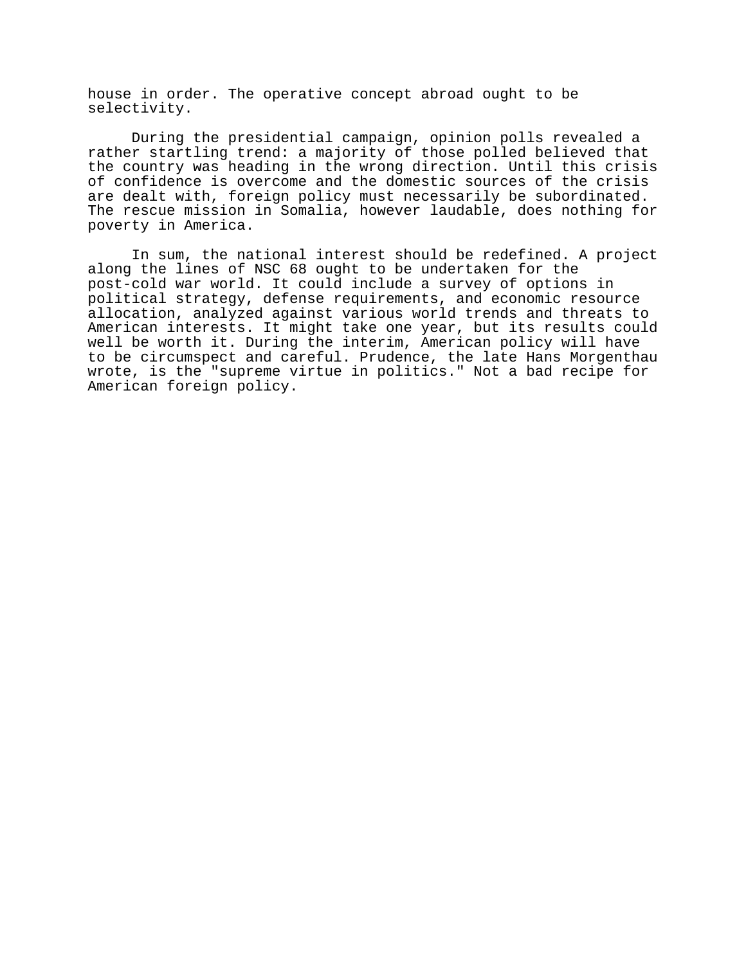house in order. The operative concept abroad ought to be selectivity.

During the presidential campaign, opinion polls revealed a rather startling trend: a majority of those polled believed that the country was heading in the wrong direction. Until this crisis of confidence is overcome and the domestic sources of the crisis are dealt with, foreign policy must necessarily be subordinated. The rescue mission in Somalia, however laudable, does nothing for poverty in America.

In sum, the national interest should be redefined. A project along the lines of NSC 68 ought to be undertaken for the post-cold war world. It could include a survey of options in political strategy, defense requirements, and economic resource allocation, analyzed against various world trends and threats to American interests. It might take one year, but its results could well be worth it. During the interim, American policy will have to be circumspect and careful. Prudence, the late Hans Morgenthau wrote, is the "supreme virtue in politics." Not a bad recipe for American foreign policy.